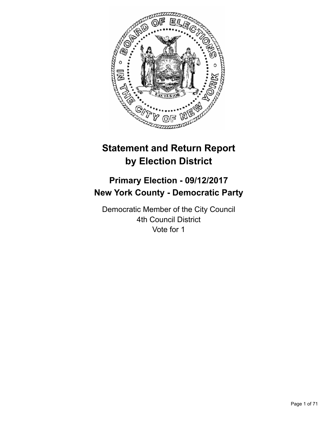

# **Statement and Return Report by Election District**

# **Primary Election - 09/12/2017 New York County - Democratic Party**

Democratic Member of the City Council 4th Council District Vote for 1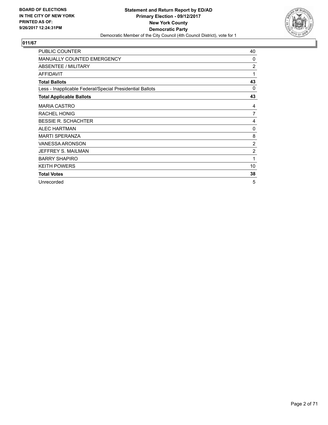

| <b>PUBLIC COUNTER</b>                                    | 40             |
|----------------------------------------------------------|----------------|
| <b>MANUALLY COUNTED EMERGENCY</b>                        | 0              |
| ABSENTEE / MILITARY                                      | $\overline{2}$ |
| <b>AFFIDAVIT</b>                                         | 1              |
| <b>Total Ballots</b>                                     | 43             |
| Less - Inapplicable Federal/Special Presidential Ballots | 0              |
| <b>Total Applicable Ballots</b>                          | 43             |
| <b>MARIA CASTRO</b>                                      | 4              |
| <b>RACHEL HONIG</b>                                      | 7              |
| <b>BESSIE R. SCHACHTER</b>                               | 4              |
| <b>ALEC HARTMAN</b>                                      | 0              |
| <b>MARTI SPERANZA</b>                                    | 8              |
| <b>VANESSA ARONSON</b>                                   | 2              |
| JEFFREY S. MAILMAN                                       | $\overline{2}$ |
| <b>BARRY SHAPIRO</b>                                     | 1              |
| <b>KEITH POWERS</b>                                      | 10             |
| <b>Total Votes</b>                                       | 38             |
| Unrecorded                                               | 5              |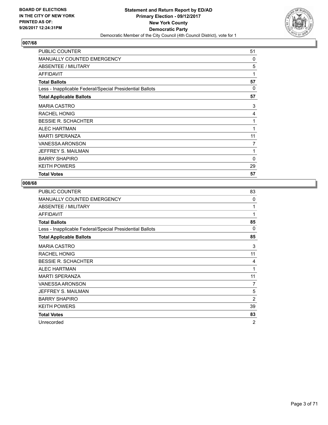

| <b>PUBLIC COUNTER</b>                                    | 51           |
|----------------------------------------------------------|--------------|
| <b>MANUALLY COUNTED EMERGENCY</b>                        | $\Omega$     |
| ABSENTEE / MILITARY                                      | 5            |
| <b>AFFIDAVIT</b>                                         | 1            |
| <b>Total Ballots</b>                                     | 57           |
| Less - Inapplicable Federal/Special Presidential Ballots | 0            |
| <b>Total Applicable Ballots</b>                          | 57           |
| <b>MARIA CASTRO</b>                                      | 3            |
| RACHEL HONIG                                             | 4            |
| <b>BESSIE R. SCHACHTER</b>                               | 1            |
| ALEC HARTMAN                                             | 1            |
| <b>MARTI SPERANZA</b>                                    | 11           |
| <b>VANESSA ARONSON</b>                                   | 7            |
| JEFFREY S. MAILMAN                                       | 1            |
| <b>BARRY SHAPIRO</b>                                     | $\mathbf{0}$ |
| <b>KEITH POWERS</b>                                      | 29           |
| <b>Total Votes</b>                                       | 57           |

| <b>PUBLIC COUNTER</b>                                    | 83             |
|----------------------------------------------------------|----------------|
| <b>MANUALLY COUNTED EMERGENCY</b>                        | 0              |
| ABSENTEE / MILITARY                                      | 1              |
| <b>AFFIDAVIT</b>                                         | 1              |
| <b>Total Ballots</b>                                     | 85             |
| Less - Inapplicable Federal/Special Presidential Ballots | 0              |
| <b>Total Applicable Ballots</b>                          | 85             |
| <b>MARIA CASTRO</b>                                      | 3              |
| <b>RACHEL HONIG</b>                                      | 11             |
| <b>BESSIE R. SCHACHTER</b>                               | 4              |
| <b>ALEC HARTMAN</b>                                      | 1              |
| <b>MARTI SPERANZA</b>                                    | 11             |
| <b>VANESSA ARONSON</b>                                   | 7              |
| JEFFREY S. MAILMAN                                       | 5              |
| <b>BARRY SHAPIRO</b>                                     | $\overline{2}$ |
| <b>KEITH POWERS</b>                                      | 39             |
| <b>Total Votes</b>                                       | 83             |
| Unrecorded                                               | $\overline{2}$ |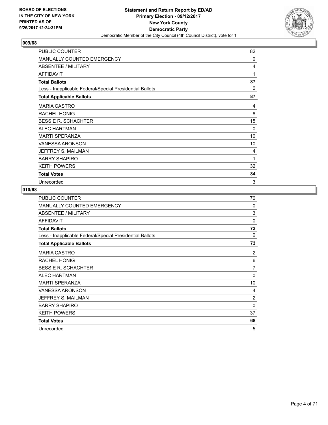

| PUBLIC COUNTER                                           | 82       |
|----------------------------------------------------------|----------|
| <b>MANUALLY COUNTED EMERGENCY</b>                        | 0        |
| ABSENTEE / MILITARY                                      | 4        |
| <b>AFFIDAVIT</b>                                         | 1        |
| <b>Total Ballots</b>                                     | 87       |
| Less - Inapplicable Federal/Special Presidential Ballots | $\Omega$ |
| <b>Total Applicable Ballots</b>                          | 87       |
| <b>MARIA CASTRO</b>                                      | 4        |
| <b>RACHEL HONIG</b>                                      | 8        |
| <b>BESSIE R. SCHACHTER</b>                               | 15       |
| <b>ALEC HARTMAN</b>                                      | $\Omega$ |
| <b>MARTI SPERANZA</b>                                    | 10       |
| <b>VANESSA ARONSON</b>                                   | 10       |
| JEFFREY S. MAILMAN                                       | 4        |
| <b>BARRY SHAPIRO</b>                                     | 1        |
| <b>KEITH POWERS</b>                                      | 32       |
| <b>Total Votes</b>                                       | 84       |
| Unrecorded                                               | 3        |

| <b>PUBLIC COUNTER</b>                                    | 70       |
|----------------------------------------------------------|----------|
| MANUALLY COUNTED EMERGENCY                               | $\Omega$ |
| ABSENTEE / MILITARY                                      | 3        |
| <b>AFFIDAVIT</b>                                         | $\Omega$ |
| <b>Total Ballots</b>                                     | 73       |
| Less - Inapplicable Federal/Special Presidential Ballots | 0        |
| <b>Total Applicable Ballots</b>                          | 73       |
| <b>MARIA CASTRO</b>                                      | 2        |
| <b>RACHEL HONIG</b>                                      | 6        |
| <b>BESSIE R. SCHACHTER</b>                               | 7        |
| <b>ALEC HARTMAN</b>                                      | 0        |
| <b>MARTI SPERANZA</b>                                    | 10       |
| VANESSA ARONSON                                          | 4        |
| JEFFREY S. MAILMAN                                       | 2        |
| <b>BARRY SHAPIRO</b>                                     | 0        |
| <b>KEITH POWERS</b>                                      | 37       |
| <b>Total Votes</b>                                       | 68       |
| Unrecorded                                               | 5        |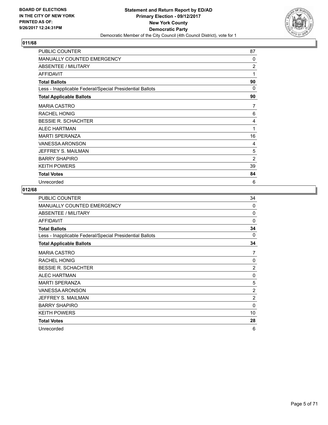

| PUBLIC COUNTER                                           | 87 |
|----------------------------------------------------------|----|
| <b>MANUALLY COUNTED EMERGENCY</b>                        | 0  |
| ABSENTEE / MILITARY                                      | 2  |
| <b>AFFIDAVIT</b>                                         | 1  |
| <b>Total Ballots</b>                                     | 90 |
| Less - Inapplicable Federal/Special Presidential Ballots | 0  |
| <b>Total Applicable Ballots</b>                          | 90 |
| <b>MARIA CASTRO</b>                                      | 7  |
| <b>RACHEL HONIG</b>                                      | 6  |
| <b>BESSIE R. SCHACHTER</b>                               | 4  |
| <b>ALEC HARTMAN</b>                                      | 1  |
| <b>MARTI SPERANZA</b>                                    | 16 |
| <b>VANESSA ARONSON</b>                                   | 4  |
| JEFFREY S. MAILMAN                                       | 5  |
| <b>BARRY SHAPIRO</b>                                     | 2  |
| <b>KEITH POWERS</b>                                      | 39 |
| <b>Total Votes</b>                                       | 84 |
| Unrecorded                                               | 6  |

| <b>PUBLIC COUNTER</b>                                    | 34             |
|----------------------------------------------------------|----------------|
| MANUALLY COUNTED EMERGENCY                               | $\Omega$       |
| ABSENTEE / MILITARY                                      | 0              |
| <b>AFFIDAVIT</b>                                         | $\Omega$       |
| <b>Total Ballots</b>                                     | 34             |
| Less - Inapplicable Federal/Special Presidential Ballots | $\Omega$       |
| <b>Total Applicable Ballots</b>                          | 34             |
| <b>MARIA CASTRO</b>                                      | 7              |
| <b>RACHEL HONIG</b>                                      | $\Omega$       |
| <b>BESSIE R. SCHACHTER</b>                               | $\overline{2}$ |
| <b>ALEC HARTMAN</b>                                      | 0              |
| <b>MARTI SPERANZA</b>                                    | 5              |
| VANESSA ARONSON                                          | $\overline{2}$ |
| JEFFREY S. MAILMAN                                       | $\overline{2}$ |
| <b>BARRY SHAPIRO</b>                                     | $\Omega$       |
| <b>KEITH POWERS</b>                                      | 10             |
| <b>Total Votes</b>                                       | 28             |
| Unrecorded                                               | 6              |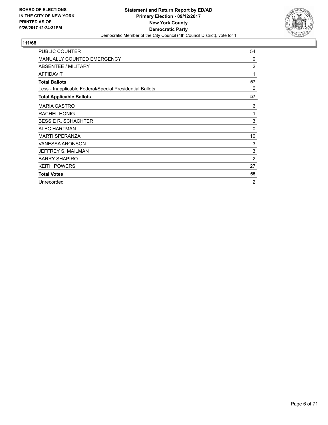

| <b>PUBLIC COUNTER</b>                                    | 54             |
|----------------------------------------------------------|----------------|
| <b>MANUALLY COUNTED EMERGENCY</b>                        | 0              |
| ABSENTEE / MILITARY                                      | $\overline{2}$ |
| <b>AFFIDAVIT</b>                                         | 1              |
| <b>Total Ballots</b>                                     | 57             |
| Less - Inapplicable Federal/Special Presidential Ballots | 0              |
| <b>Total Applicable Ballots</b>                          | 57             |
| <b>MARIA CASTRO</b>                                      | 6              |
| <b>RACHEL HONIG</b>                                      | 1              |
| <b>BESSIE R. SCHACHTER</b>                               | 3              |
| <b>ALEC HARTMAN</b>                                      | $\Omega$       |
| <b>MARTI SPERANZA</b>                                    | 10             |
| <b>VANESSA ARONSON</b>                                   | 3              |
| JEFFREY S. MAILMAN                                       | 3              |
| <b>BARRY SHAPIRO</b>                                     | 2              |
| <b>KEITH POWERS</b>                                      | 27             |
| <b>Total Votes</b>                                       | 55             |
| Unrecorded                                               | $\overline{2}$ |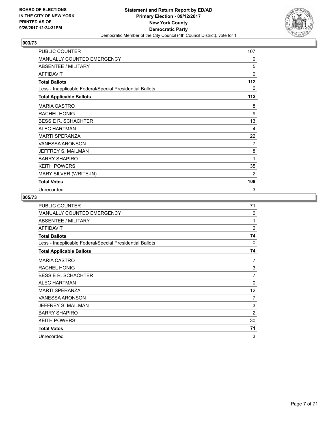

| PUBLIC COUNTER                                           | 107      |
|----------------------------------------------------------|----------|
| MANUALLY COUNTED EMERGENCY                               | 0        |
| <b>ABSENTEE / MILITARY</b>                               | 5        |
| <b>AFFIDAVIT</b>                                         | $\Omega$ |
| <b>Total Ballots</b>                                     | 112      |
| Less - Inapplicable Federal/Special Presidential Ballots | 0        |
| <b>Total Applicable Ballots</b>                          | 112      |
| <b>MARIA CASTRO</b>                                      | 8        |
| <b>RACHEL HONIG</b>                                      | 9        |
| <b>BESSIE R. SCHACHTER</b>                               | 13       |
| <b>ALEC HARTMAN</b>                                      | 4        |
| <b>MARTI SPERANZA</b>                                    | 22       |
| VANESSA ARONSON                                          | 7        |
| JEFFREY S. MAILMAN                                       | 8        |
| <b>BARRY SHAPIRO</b>                                     | 1        |
| <b>KEITH POWERS</b>                                      | 35       |
| MARY SILVER (WRITE-IN)                                   | 2        |
| <b>Total Votes</b>                                       | 109      |
| Unrecorded                                               | 3        |

| PUBLIC COUNTER                                           | 71             |
|----------------------------------------------------------|----------------|
| MANUALLY COUNTED EMERGENCY                               | $\Omega$       |
| ABSENTEE / MILITARY                                      | 1              |
| <b>AFFIDAVIT</b>                                         | $\overline{2}$ |
| <b>Total Ballots</b>                                     | 74             |
| Less - Inapplicable Federal/Special Presidential Ballots | $\Omega$       |
| <b>Total Applicable Ballots</b>                          | 74             |
| <b>MARIA CASTRO</b>                                      | 7              |
| <b>RACHEL HONIG</b>                                      | 3              |
| <b>BESSIE R. SCHACHTER</b>                               | 7              |
| <b>ALEC HARTMAN</b>                                      | $\Omega$       |
| <b>MARTI SPERANZA</b>                                    | 12             |
| VANESSA ARONSON                                          | 7              |
| JEFFREY S. MAILMAN                                       | 3              |
| <b>BARRY SHAPIRO</b>                                     | $\overline{2}$ |
| <b>KEITH POWERS</b>                                      | 30             |
| <b>Total Votes</b>                                       | 71             |
| Unrecorded                                               | 3              |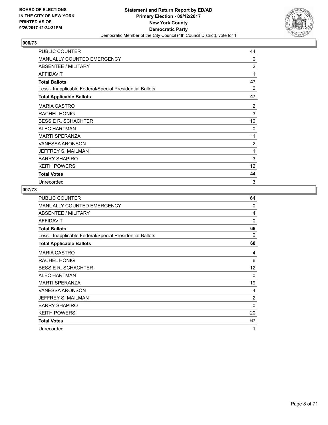

| PUBLIC COUNTER                                           | 44       |
|----------------------------------------------------------|----------|
| <b>MANUALLY COUNTED EMERGENCY</b>                        | 0        |
| ABSENTEE / MILITARY                                      | 2        |
| <b>AFFIDAVIT</b>                                         | 1        |
| <b>Total Ballots</b>                                     | 47       |
| Less - Inapplicable Federal/Special Presidential Ballots | $\Omega$ |
| <b>Total Applicable Ballots</b>                          | 47       |
| <b>MARIA CASTRO</b>                                      | 2        |
| <b>RACHEL HONIG</b>                                      | 3        |
| <b>BESSIE R. SCHACHTER</b>                               | 10       |
| ALEC HARTMAN                                             | $\Omega$ |
| <b>MARTI SPERANZA</b>                                    | 11       |
| <b>VANESSA ARONSON</b>                                   | 2        |
| JEFFREY S. MAILMAN                                       | 1        |
| <b>BARRY SHAPIRO</b>                                     | 3        |
| <b>KEITH POWERS</b>                                      | 12       |
| <b>Total Votes</b>                                       | 44       |
| Unrecorded                                               | 3        |

| PUBLIC COUNTER                                           | 64             |
|----------------------------------------------------------|----------------|
| MANUALLY COUNTED EMERGENCY                               | $\Omega$       |
| ABSENTEE / MILITARY                                      | 4              |
| <b>AFFIDAVIT</b>                                         | $\Omega$       |
| <b>Total Ballots</b>                                     | 68             |
| Less - Inapplicable Federal/Special Presidential Ballots | 0              |
| <b>Total Applicable Ballots</b>                          | 68             |
| <b>MARIA CASTRO</b>                                      | 4              |
| <b>RACHEL HONIG</b>                                      | 6              |
| <b>BESSIE R. SCHACHTER</b>                               | 12             |
| <b>ALEC HARTMAN</b>                                      | $\Omega$       |
| <b>MARTI SPERANZA</b>                                    | 19             |
| <b>VANESSA ARONSON</b>                                   | 4              |
| JEFFREY S. MAILMAN                                       | $\overline{c}$ |
| <b>BARRY SHAPIRO</b>                                     | 0              |
| <b>KEITH POWERS</b>                                      | 20             |
| <b>Total Votes</b>                                       | 67             |
| Unrecorded                                               | 1              |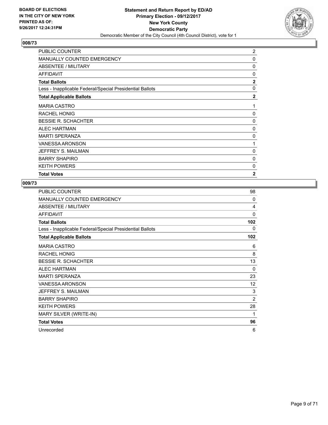

| PUBLIC COUNTER                                           | 2              |
|----------------------------------------------------------|----------------|
| <b>MANUALLY COUNTED EMERGENCY</b>                        | 0              |
| ABSENTEE / MILITARY                                      | 0              |
| <b>AFFIDAVIT</b>                                         | 0              |
| <b>Total Ballots</b>                                     | $\overline{2}$ |
| Less - Inapplicable Federal/Special Presidential Ballots | $\mathbf{0}$   |
| <b>Total Applicable Ballots</b>                          | $\mathbf{2}$   |
| <b>MARIA CASTRO</b>                                      | 1              |
| <b>RACHEL HONIG</b>                                      | 0              |
| <b>BESSIE R. SCHACHTER</b>                               | 0              |
| <b>ALEC HARTMAN</b>                                      | 0              |
| <b>MARTI SPERANZA</b>                                    | 0              |
| <b>VANESSA ARONSON</b>                                   | 1              |
| JEFFREY S. MAILMAN                                       | 0              |
| <b>BARRY SHAPIRO</b>                                     | 0              |
| <b>KEITH POWERS</b>                                      | 0              |
| <b>Total Votes</b>                                       | $\overline{2}$ |

| <b>PUBLIC COUNTER</b>                                    | 98             |
|----------------------------------------------------------|----------------|
| MANUALLY COUNTED EMERGENCY                               | $\Omega$       |
| ABSENTEE / MILITARY                                      | 4              |
| <b>AFFIDAVIT</b>                                         | $\Omega$       |
| <b>Total Ballots</b>                                     | 102            |
| Less - Inapplicable Federal/Special Presidential Ballots | 0              |
| <b>Total Applicable Ballots</b>                          | 102            |
| <b>MARIA CASTRO</b>                                      | 6              |
| <b>RACHEL HONIG</b>                                      | 8              |
| <b>BESSIE R. SCHACHTER</b>                               | 13             |
| <b>ALEC HARTMAN</b>                                      | $\Omega$       |
| <b>MARTI SPERANZA</b>                                    | 23             |
| <b>VANESSA ARONSON</b>                                   | 12             |
| JEFFREY S. MAILMAN                                       | 3              |
| <b>BARRY SHAPIRO</b>                                     | $\overline{2}$ |
| <b>KEITH POWERS</b>                                      | 28             |
| MARY SILVER (WRITE-IN)                                   | 1              |
| <b>Total Votes</b>                                       | 96             |
| Unrecorded                                               | 6              |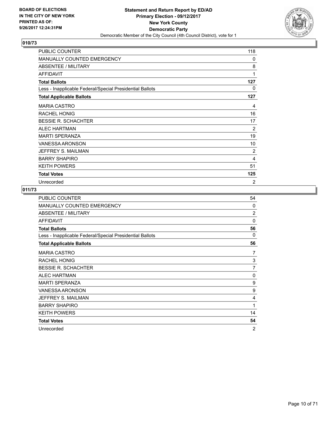

| PUBLIC COUNTER                                           | 118            |
|----------------------------------------------------------|----------------|
| MANUALLY COUNTED EMERGENCY                               | $\mathbf{0}$   |
| ABSENTEE / MILITARY                                      | 8              |
| <b>AFFIDAVIT</b>                                         | 1              |
| <b>Total Ballots</b>                                     | 127            |
| Less - Inapplicable Federal/Special Presidential Ballots | 0              |
| <b>Total Applicable Ballots</b>                          | 127            |
| <b>MARIA CASTRO</b>                                      | 4              |
| <b>RACHEL HONIG</b>                                      | 16             |
| <b>BESSIE R. SCHACHTER</b>                               | 17             |
| <b>ALEC HARTMAN</b>                                      | $\overline{2}$ |
| <b>MARTI SPERANZA</b>                                    | 19             |
| <b>VANESSA ARONSON</b>                                   | 10             |
| JEFFREY S. MAILMAN                                       | 2              |
| <b>BARRY SHAPIRO</b>                                     | 4              |
| <b>KEITH POWERS</b>                                      | 51             |
| <b>Total Votes</b>                                       | 125            |
| Unrecorded                                               | 2              |

| <b>PUBLIC COUNTER</b>                                    | 54             |
|----------------------------------------------------------|----------------|
| MANUALLY COUNTED EMERGENCY                               | $\Omega$       |
| ABSENTEE / MILITARY                                      | $\overline{2}$ |
| <b>AFFIDAVIT</b>                                         | $\Omega$       |
| <b>Total Ballots</b>                                     | 56             |
| Less - Inapplicable Federal/Special Presidential Ballots | $\Omega$       |
| <b>Total Applicable Ballots</b>                          | 56             |
| <b>MARIA CASTRO</b>                                      | 7              |
| <b>RACHEL HONIG</b>                                      | 3              |
| <b>BESSIE R. SCHACHTER</b>                               | 7              |
| <b>ALEC HARTMAN</b>                                      | 0              |
| <b>MARTI SPERANZA</b>                                    | 9              |
| <b>VANESSA ARONSON</b>                                   | 9              |
| JEFFREY S. MAILMAN                                       | 4              |
| <b>BARRY SHAPIRO</b>                                     | 1              |
| <b>KEITH POWERS</b>                                      | 14             |
| <b>Total Votes</b>                                       | 54             |
| Unrecorded                                               | $\overline{2}$ |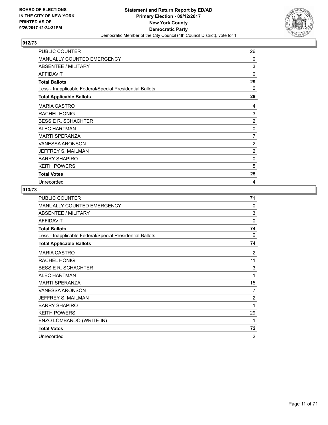

| PUBLIC COUNTER                                           | 26             |
|----------------------------------------------------------|----------------|
| <b>MANUALLY COUNTED EMERGENCY</b>                        | 0              |
| ABSENTEE / MILITARY                                      | 3              |
| <b>AFFIDAVIT</b>                                         | $\Omega$       |
| <b>Total Ballots</b>                                     | 29             |
| Less - Inapplicable Federal/Special Presidential Ballots | 0              |
| <b>Total Applicable Ballots</b>                          | 29             |
| <b>MARIA CASTRO</b>                                      | 4              |
| <b>RACHEL HONIG</b>                                      | 3              |
| <b>BESSIE R. SCHACHTER</b>                               | $\overline{2}$ |
| <b>ALEC HARTMAN</b>                                      | 0              |
| <b>MARTI SPERANZA</b>                                    | 7              |
| <b>VANESSA ARONSON</b>                                   | 2              |
| JEFFREY S. MAILMAN                                       | $\overline{2}$ |
| <b>BARRY SHAPIRO</b>                                     | 0              |
| <b>KEITH POWERS</b>                                      | 5              |
| <b>Total Votes</b>                                       | 25             |
| Unrecorded                                               | 4              |

| <b>PUBLIC COUNTER</b>                                    | 71             |
|----------------------------------------------------------|----------------|
| <b>MANUALLY COUNTED EMERGENCY</b>                        | $\Omega$       |
| ABSENTEE / MILITARY                                      | 3              |
| <b>AFFIDAVIT</b>                                         | $\mathbf{0}$   |
| <b>Total Ballots</b>                                     | 74             |
| Less - Inapplicable Federal/Special Presidential Ballots | 0              |
| <b>Total Applicable Ballots</b>                          | 74             |
| <b>MARIA CASTRO</b>                                      | 2              |
| <b>RACHEL HONIG</b>                                      | 11             |
| <b>BESSIE R. SCHACHTER</b>                               | 3              |
| <b>ALEC HARTMAN</b>                                      | 1              |
| <b>MARTI SPERANZA</b>                                    | 15             |
| <b>VANESSA ARONSON</b>                                   | 7              |
| JEFFREY S. MAILMAN                                       | 2              |
| <b>BARRY SHAPIRO</b>                                     | 1              |
| <b>KEITH POWERS</b>                                      | 29             |
| ENZO LOMBARDO (WRITE-IN)                                 | 1              |
| <b>Total Votes</b>                                       | 72             |
| Unrecorded                                               | $\overline{2}$ |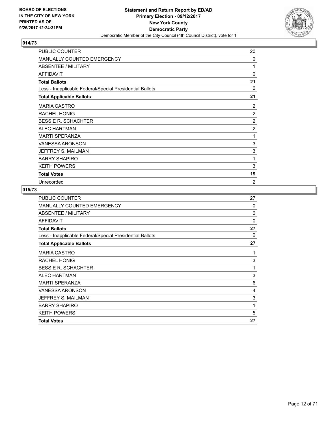

| PUBLIC COUNTER                                           | 20             |
|----------------------------------------------------------|----------------|
| <b>MANUALLY COUNTED EMERGENCY</b>                        | 0              |
| ABSENTEE / MILITARY                                      | 1              |
| <b>AFFIDAVIT</b>                                         | $\Omega$       |
| <b>Total Ballots</b>                                     | 21             |
| Less - Inapplicable Federal/Special Presidential Ballots | 0              |
| <b>Total Applicable Ballots</b>                          | 21             |
| <b>MARIA CASTRO</b>                                      | 2              |
| <b>RACHEL HONIG</b>                                      | 2              |
| <b>BESSIE R. SCHACHTER</b>                               | $\overline{2}$ |
| <b>ALEC HARTMAN</b>                                      | $\overline{2}$ |
| <b>MARTI SPERANZA</b>                                    | 1              |
| <b>VANESSA ARONSON</b>                                   | 3              |
| JEFFREY S. MAILMAN                                       | 3              |
| <b>BARRY SHAPIRO</b>                                     | 1              |
| <b>KEITH POWERS</b>                                      | 3              |
| <b>Total Votes</b>                                       | 19             |
| Unrecorded                                               | $\overline{2}$ |

| <b>PUBLIC COUNTER</b>                                    | 27       |
|----------------------------------------------------------|----------|
| <b>MANUALLY COUNTED EMERGENCY</b>                        | 0        |
| ABSENTEE / MILITARY                                      | 0        |
| <b>AFFIDAVIT</b>                                         | $\Omega$ |
| <b>Total Ballots</b>                                     | 27       |
| Less - Inapplicable Federal/Special Presidential Ballots | 0        |
| <b>Total Applicable Ballots</b>                          | 27       |
| <b>MARIA CASTRO</b>                                      | 1        |
| <b>RACHEL HONIG</b>                                      | 3        |
| <b>BESSIE R. SCHACHTER</b>                               | 1        |
| <b>ALEC HARTMAN</b>                                      | 3        |
| <b>MARTI SPERANZA</b>                                    | 6        |
| <b>VANESSA ARONSON</b>                                   | 4        |
| JEFFREY S. MAILMAN                                       | 3        |
| <b>BARRY SHAPIRO</b>                                     | 1        |
| <b>KEITH POWERS</b>                                      | 5        |
| <b>Total Votes</b>                                       | 27       |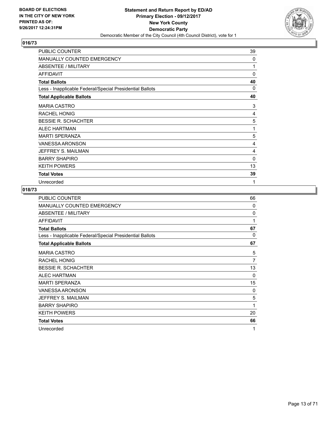

| PUBLIC COUNTER                                           | 39       |
|----------------------------------------------------------|----------|
| <b>MANUALLY COUNTED EMERGENCY</b>                        | 0        |
| ABSENTEE / MILITARY                                      | 1        |
| <b>AFFIDAVIT</b>                                         | $\Omega$ |
| <b>Total Ballots</b>                                     | 40       |
| Less - Inapplicable Federal/Special Presidential Ballots | 0        |
| <b>Total Applicable Ballots</b>                          | 40       |
| <b>MARIA CASTRO</b>                                      | 3        |
| <b>RACHEL HONIG</b>                                      | 4        |
| <b>BESSIE R. SCHACHTER</b>                               | 5        |
| <b>ALEC HARTMAN</b>                                      | 1        |
| <b>MARTI SPERANZA</b>                                    | 5        |
| <b>VANESSA ARONSON</b>                                   | 4        |
| JEFFREY S. MAILMAN                                       | 4        |
| <b>BARRY SHAPIRO</b>                                     | 0        |
| <b>KEITH POWERS</b>                                      | 13       |
| <b>Total Votes</b>                                       | 39       |
| Unrecorded                                               | 1        |

| <b>PUBLIC COUNTER</b>                                    | 66       |
|----------------------------------------------------------|----------|
| MANUALLY COUNTED EMERGENCY                               | $\Omega$ |
| ABSENTEE / MILITARY                                      | $\Omega$ |
| <b>AFFIDAVIT</b>                                         | 1        |
| <b>Total Ballots</b>                                     | 67       |
| Less - Inapplicable Federal/Special Presidential Ballots | 0        |
| <b>Total Applicable Ballots</b>                          | 67       |
| <b>MARIA CASTRO</b>                                      | 5        |
| <b>RACHEL HONIG</b>                                      | 7        |
| <b>BESSIE R. SCHACHTER</b>                               | 13       |
| <b>ALEC HARTMAN</b>                                      | $\Omega$ |
| <b>MARTI SPERANZA</b>                                    | 15       |
| VANESSA ARONSON                                          | 0        |
| JEFFREY S. MAILMAN                                       | 5        |
| <b>BARRY SHAPIRO</b>                                     | 1        |
| <b>KEITH POWERS</b>                                      | 20       |
| <b>Total Votes</b>                                       | 66       |
| Unrecorded                                               | 1        |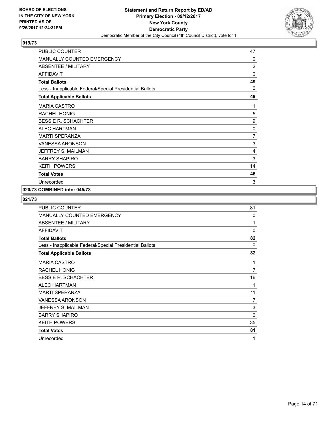

| PUBLIC COUNTER                                           | 47             |
|----------------------------------------------------------|----------------|
| MANUALLY COUNTED EMERGENCY                               | 0              |
| <b>ABSENTEE / MILITARY</b>                               | $\overline{2}$ |
| <b>AFFIDAVIT</b>                                         | $\mathbf{0}$   |
| <b>Total Ballots</b>                                     | 49             |
| Less - Inapplicable Federal/Special Presidential Ballots | 0              |
| <b>Total Applicable Ballots</b>                          | 49             |
| <b>MARIA CASTRO</b>                                      | 1              |
| RACHEL HONIG                                             | 5              |
| <b>BESSIE R. SCHACHTER</b>                               | 9              |
| <b>ALEC HARTMAN</b>                                      | 0              |
| <b>MARTI SPERANZA</b>                                    | 7              |
| <b>VANESSA ARONSON</b>                                   | 3              |
| JEFFREY S. MAILMAN                                       | 4              |
| <b>BARRY SHAPIRO</b>                                     | 3              |
| <b>KEITH POWERS</b>                                      | 14             |
| <b>Total Votes</b>                                       | 46             |
| Unrecorded                                               | 3              |

## **020/73 COMBINED into: 045/73**

| <b>PUBLIC COUNTER</b>                                    | 81           |
|----------------------------------------------------------|--------------|
| <b>MANUALLY COUNTED EMERGENCY</b>                        | $\mathbf{0}$ |
| ABSENTEE / MILITARY                                      | 1            |
| <b>AFFIDAVIT</b>                                         | $\mathbf{0}$ |
| <b>Total Ballots</b>                                     | 82           |
| Less - Inapplicable Federal/Special Presidential Ballots | 0            |
| <b>Total Applicable Ballots</b>                          | 82           |
| <b>MARIA CASTRO</b>                                      | 1            |
| <b>RACHEL HONIG</b>                                      | 7            |
| <b>BESSIE R. SCHACHTER</b>                               | 16           |
| <b>ALEC HARTMAN</b>                                      | 1            |
| <b>MARTI SPERANZA</b>                                    | 11           |
| VANESSA ARONSON                                          | 7            |
| JEFFREY S. MAILMAN                                       | 3            |
| <b>BARRY SHAPIRO</b>                                     | $\mathbf{0}$ |
| <b>KEITH POWERS</b>                                      | 35           |
| <b>Total Votes</b>                                       | 81           |
| Unrecorded                                               | 1            |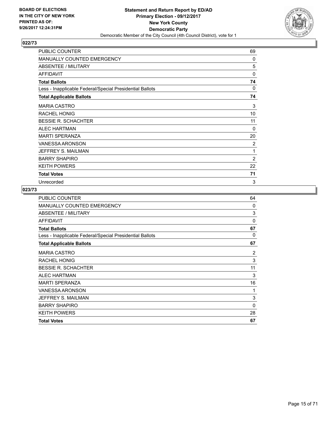

| PUBLIC COUNTER                                           | 69           |
|----------------------------------------------------------|--------------|
| MANUALLY COUNTED EMERGENCY                               | $\Omega$     |
| ABSENTEE / MILITARY                                      | 5            |
| <b>AFFIDAVIT</b>                                         | $\mathbf{0}$ |
| <b>Total Ballots</b>                                     | 74           |
| Less - Inapplicable Federal/Special Presidential Ballots | 0            |
| <b>Total Applicable Ballots</b>                          | 74           |
| <b>MARIA CASTRO</b>                                      | 3            |
| <b>RACHEL HONIG</b>                                      | 10           |
| <b>BESSIE R. SCHACHTER</b>                               | 11           |
| <b>ALEC HARTMAN</b>                                      | $\Omega$     |
| <b>MARTI SPERANZA</b>                                    | 20           |
| <b>VANESSA ARONSON</b>                                   | 2            |
| JEFFREY S. MAILMAN                                       | 1            |
| <b>BARRY SHAPIRO</b>                                     | 2            |
| <b>KEITH POWERS</b>                                      | 22           |
| <b>Total Votes</b>                                       | 71           |
| Unrecorded                                               | 3            |

| <b>PUBLIC COUNTER</b>                                    | 64       |
|----------------------------------------------------------|----------|
| <b>MANUALLY COUNTED EMERGENCY</b>                        | $\Omega$ |
| ABSENTEE / MILITARY                                      | 3        |
| <b>AFFIDAVIT</b>                                         | 0        |
| <b>Total Ballots</b>                                     | 67       |
| Less - Inapplicable Federal/Special Presidential Ballots | 0        |
| <b>Total Applicable Ballots</b>                          | 67       |
| <b>MARIA CASTRO</b>                                      | 2        |
| <b>RACHEL HONIG</b>                                      | 3        |
| <b>BESSIE R. SCHACHTER</b>                               | 11       |
| <b>ALEC HARTMAN</b>                                      | 3        |
| <b>MARTI SPERANZA</b>                                    | 16       |
| <b>VANESSA ARONSON</b>                                   | 1        |
| JEFFREY S. MAILMAN                                       | 3        |
| <b>BARRY SHAPIRO</b>                                     | 0        |
| <b>KEITH POWERS</b>                                      | 28       |
| <b>Total Votes</b>                                       | 67       |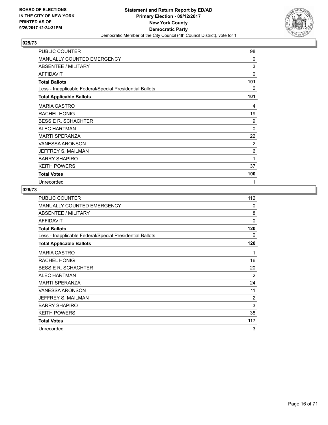

| PUBLIC COUNTER                                           | 98           |
|----------------------------------------------------------|--------------|
| <b>MANUALLY COUNTED EMERGENCY</b>                        | 0            |
| ABSENTEE / MILITARY                                      | 3            |
| <b>AFFIDAVIT</b>                                         | $\mathbf{0}$ |
| <b>Total Ballots</b>                                     | 101          |
| Less - Inapplicable Federal/Special Presidential Ballots | 0            |
| <b>Total Applicable Ballots</b>                          | 101          |
| <b>MARIA CASTRO</b>                                      | 4            |
| <b>RACHEL HONIG</b>                                      | 19           |
| <b>BESSIE R. SCHACHTER</b>                               | 9            |
| <b>ALEC HARTMAN</b>                                      | $\mathbf{0}$ |
| <b>MARTI SPERANZA</b>                                    | 22           |
| <b>VANESSA ARONSON</b>                                   | 2            |
| JEFFREY S. MAILMAN                                       | 6            |
| <b>BARRY SHAPIRO</b>                                     | 1            |
| <b>KEITH POWERS</b>                                      | 37           |
| <b>Total Votes</b>                                       | 100          |
| Unrecorded                                               | 1            |

| PUBLIC COUNTER                                           | 112 |
|----------------------------------------------------------|-----|
| MANUALLY COUNTED EMERGENCY                               | 0   |
| ABSENTEE / MILITARY                                      | 8   |
| <b>AFFIDAVIT</b>                                         | 0   |
| <b>Total Ballots</b>                                     | 120 |
| Less - Inapplicable Federal/Special Presidential Ballots | 0   |
| <b>Total Applicable Ballots</b>                          | 120 |
| <b>MARIA CASTRO</b>                                      | 1   |
| RACHEL HONIG                                             | 16  |
| <b>BESSIE R. SCHACHTER</b>                               | 20  |
| <b>ALEC HARTMAN</b>                                      | 2   |
| <b>MARTI SPERANZA</b>                                    | 24  |
| VANESSA ARONSON                                          | 11  |
| JEFFREY S. MAILMAN                                       | 2   |
| <b>BARRY SHAPIRO</b>                                     | 3   |
| <b>KEITH POWERS</b>                                      | 38  |
| <b>Total Votes</b>                                       | 117 |
| Unrecorded                                               | 3   |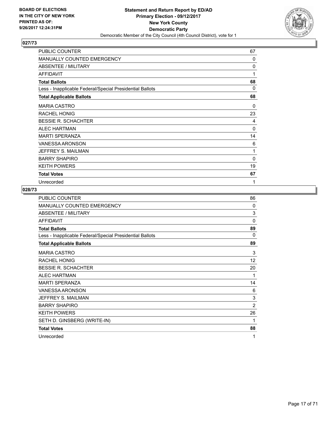

| PUBLIC COUNTER                                           | 67 |
|----------------------------------------------------------|----|
| <b>MANUALLY COUNTED EMERGENCY</b>                        | 0  |
| ABSENTEE / MILITARY                                      | 0  |
| <b>AFFIDAVIT</b>                                         | 1  |
| <b>Total Ballots</b>                                     | 68 |
| Less - Inapplicable Federal/Special Presidential Ballots | 0  |
| <b>Total Applicable Ballots</b>                          | 68 |
| <b>MARIA CASTRO</b>                                      | 0  |
| <b>RACHEL HONIG</b>                                      | 23 |
| <b>BESSIE R. SCHACHTER</b>                               | 4  |
| <b>ALEC HARTMAN</b>                                      | 0  |
| <b>MARTI SPERANZA</b>                                    | 14 |
| <b>VANESSA ARONSON</b>                                   | 6  |
| JEFFREY S. MAILMAN                                       | 1  |
| <b>BARRY SHAPIRO</b>                                     | 0  |
| <b>KEITH POWERS</b>                                      | 19 |
| <b>Total Votes</b>                                       | 67 |
| Unrecorded                                               | 1  |

| <b>PUBLIC COUNTER</b>                                    | 86             |
|----------------------------------------------------------|----------------|
| MANUALLY COUNTED EMERGENCY                               | 0              |
| ABSENTEE / MILITARY                                      | 3              |
| <b>AFFIDAVIT</b>                                         | $\mathbf{0}$   |
| <b>Total Ballots</b>                                     | 89             |
| Less - Inapplicable Federal/Special Presidential Ballots | 0              |
| <b>Total Applicable Ballots</b>                          | 89             |
| <b>MARIA CASTRO</b>                                      | 3              |
| <b>RACHEL HONIG</b>                                      | 12             |
| <b>BESSIE R. SCHACHTER</b>                               | 20             |
| <b>ALEC HARTMAN</b>                                      | 1              |
| <b>MARTI SPERANZA</b>                                    | 14             |
| <b>VANESSA ARONSON</b>                                   | 6              |
| JEFFREY S. MAILMAN                                       | 3              |
| <b>BARRY SHAPIRO</b>                                     | $\overline{2}$ |
| <b>KEITH POWERS</b>                                      | 26             |
| SETH D. GINSBERG (WRITE-IN)                              | 1              |
| <b>Total Votes</b>                                       | 88             |
| Unrecorded                                               | 1              |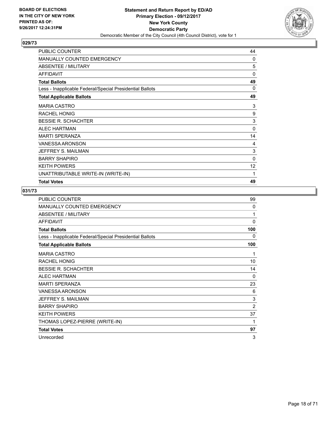

| <b>PUBLIC COUNTER</b>                                    | 44          |
|----------------------------------------------------------|-------------|
| <b>MANUALLY COUNTED EMERGENCY</b>                        | 0           |
| ABSENTEE / MILITARY                                      | 5           |
| <b>AFFIDAVIT</b>                                         | $\mathbf 0$ |
| <b>Total Ballots</b>                                     | 49          |
| Less - Inapplicable Federal/Special Presidential Ballots | 0           |
| <b>Total Applicable Ballots</b>                          | 49          |
| <b>MARIA CASTRO</b>                                      | 3           |
| <b>RACHEL HONIG</b>                                      | 9           |
| <b>BESSIE R. SCHACHTER</b>                               | 3           |
| ALFC HARTMAN                                             | $\mathbf 0$ |
| <b>MARTI SPERANZA</b>                                    | 14          |
| <b>VANESSA ARONSON</b>                                   | 4           |
| JEFFREY S. MAILMAN                                       | 3           |
| <b>BARRY SHAPIRO</b>                                     | 0           |
| <b>KEITH POWERS</b>                                      | 12          |
| UNATTRIBUTABLE WRITE-IN (WRITE-IN)                       | 1           |
| <b>Total Votes</b>                                       | 49          |

| PUBLIC COUNTER                                           | 99             |
|----------------------------------------------------------|----------------|
| MANUALLY COUNTED EMERGENCY                               | $\mathbf{0}$   |
| ABSENTEE / MILITARY                                      | 1              |
| <b>AFFIDAVIT</b>                                         | 0              |
| <b>Total Ballots</b>                                     | 100            |
| Less - Inapplicable Federal/Special Presidential Ballots | 0              |
| <b>Total Applicable Ballots</b>                          | 100            |
| <b>MARIA CASTRO</b>                                      | 1              |
| <b>RACHEL HONIG</b>                                      | 10             |
| <b>BESSIE R. SCHACHTER</b>                               | 14             |
| <b>ALEC HARTMAN</b>                                      | $\Omega$       |
| <b>MARTI SPERANZA</b>                                    | 23             |
| <b>VANESSA ARONSON</b>                                   | 6              |
| JEFFREY S. MAILMAN                                       | 3              |
| <b>BARRY SHAPIRO</b>                                     | $\overline{2}$ |
| <b>KEITH POWERS</b>                                      | 37             |
| THOMAS LOPEZ-PIERRE (WRITE-IN)                           | 1              |
| <b>Total Votes</b>                                       | 97             |
| Unrecorded                                               | 3              |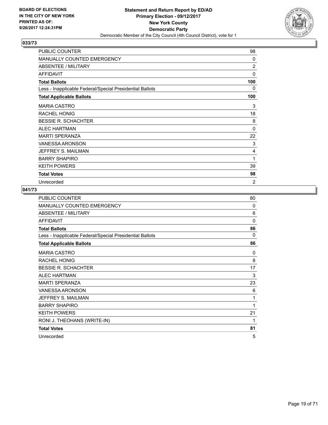

| PUBLIC COUNTER                                           | 98             |
|----------------------------------------------------------|----------------|
| <b>MANUALLY COUNTED EMERGENCY</b>                        | 0              |
| ABSENTEE / MILITARY                                      | 2              |
| <b>AFFIDAVIT</b>                                         | $\mathbf{0}$   |
| <b>Total Ballots</b>                                     | 100            |
| Less - Inapplicable Federal/Special Presidential Ballots | 0              |
| <b>Total Applicable Ballots</b>                          | 100            |
| <b>MARIA CASTRO</b>                                      | 3              |
| <b>RACHEL HONIG</b>                                      | 18             |
| <b>BESSIE R. SCHACHTER</b>                               | 8              |
| <b>ALEC HARTMAN</b>                                      | $\mathbf{0}$   |
| <b>MARTI SPERANZA</b>                                    | 22             |
| <b>VANESSA ARONSON</b>                                   | 3              |
| JEFFREY S. MAILMAN                                       | 4              |
| <b>BARRY SHAPIRO</b>                                     | 1              |
| <b>KEITH POWERS</b>                                      | 39             |
| <b>Total Votes</b>                                       | 98             |
| Unrecorded                                               | $\overline{2}$ |

| <b>PUBLIC COUNTER</b>                                    | 80           |
|----------------------------------------------------------|--------------|
| MANUALLY COUNTED EMERGENCY                               | $\Omega$     |
| ABSENTEE / MILITARY                                      | 6            |
| <b>AFFIDAVIT</b>                                         | $\mathbf{0}$ |
| <b>Total Ballots</b>                                     | 86           |
| Less - Inapplicable Federal/Special Presidential Ballots | 0            |
| <b>Total Applicable Ballots</b>                          | 86           |
| <b>MARIA CASTRO</b>                                      | 0            |
| <b>RACHEL HONIG</b>                                      | 8            |
| <b>BESSIE R. SCHACHTER</b>                               | 17           |
| <b>ALEC HARTMAN</b>                                      | 3            |
| <b>MARTI SPERANZA</b>                                    | 23           |
| <b>VANESSA ARONSON</b>                                   | 6            |
| JEFFREY S. MAILMAN                                       | 1            |
| <b>BARRY SHAPIRO</b>                                     | 1            |
| <b>KEITH POWERS</b>                                      | 21           |
| RONI J. THEOHANS (WRITE-IN)                              | 1            |
| <b>Total Votes</b>                                       | 81           |
| Unrecorded                                               | 5            |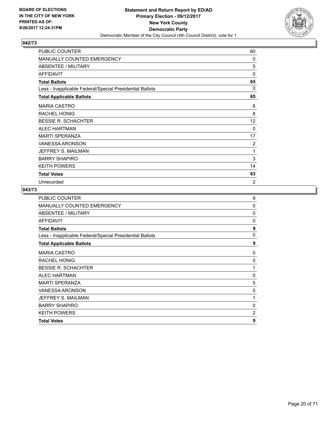

| PUBLIC COUNTER                                           | 60             |
|----------------------------------------------------------|----------------|
| MANUALLY COUNTED EMERGENCY                               | $\Omega$       |
| ABSENTEE / MILITARY                                      | 5              |
| <b>AFFIDAVIT</b>                                         | $\mathbf{0}$   |
| <b>Total Ballots</b>                                     | 65             |
| Less - Inapplicable Federal/Special Presidential Ballots | 0              |
| <b>Total Applicable Ballots</b>                          | 65             |
| <b>MARIA CASTRO</b>                                      | 6              |
| <b>RACHEL HONIG</b>                                      | 8              |
| <b>BESSIE R. SCHACHTER</b>                               | 12             |
| <b>ALEC HARTMAN</b>                                      | $\Omega$       |
| <b>MARTI SPERANZA</b>                                    | 17             |
| <b>VANESSA ARONSON</b>                                   | 2              |
| JEFFREY S. MAILMAN                                       | 1              |
| <b>BARRY SHAPIRO</b>                                     | 3              |
| <b>KEITH POWERS</b>                                      | 14             |
| <b>Total Votes</b>                                       | 63             |
| Unrecorded                                               | $\overline{2}$ |

| <b>PUBLIC COUNTER</b>                                    | 9 |
|----------------------------------------------------------|---|
| MANUALLY COUNTED EMERGENCY                               | 0 |
| ABSENTEE / MILITARY                                      | 0 |
| <b>AFFIDAVIT</b>                                         | 0 |
| <b>Total Ballots</b>                                     | 9 |
| Less - Inapplicable Federal/Special Presidential Ballots | 0 |
| <b>Total Applicable Ballots</b>                          | 9 |
| <b>MARIA CASTRO</b>                                      | 0 |
| <b>RACHEL HONIG</b>                                      | 0 |
| <b>BESSIE R. SCHACHTER</b>                               | 1 |
| <b>ALEC HARTMAN</b>                                      | 0 |
| <b>MARTI SPERANZA</b>                                    | 5 |
| <b>VANESSA ARONSON</b>                                   | 0 |
| JEFFREY S. MAILMAN                                       | 1 |
| <b>BARRY SHAPIRO</b>                                     | 0 |
| <b>KEITH POWERS</b>                                      | 2 |
| <b>Total Votes</b>                                       | 9 |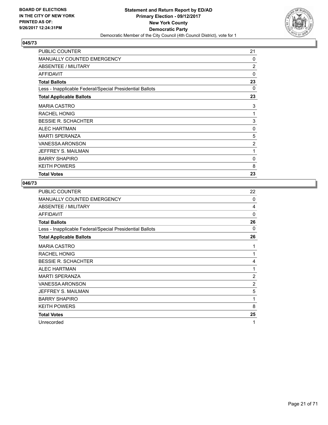

| <b>PUBLIC COUNTER</b>                                    | 21             |
|----------------------------------------------------------|----------------|
| <b>MANUALLY COUNTED EMERGENCY</b>                        | $\Omega$       |
| ABSENTEE / MILITARY                                      | $\overline{2}$ |
| <b>AFFIDAVIT</b>                                         | 0              |
| <b>Total Ballots</b>                                     | 23             |
| Less - Inapplicable Federal/Special Presidential Ballots | 0              |
| <b>Total Applicable Ballots</b>                          | 23             |
| <b>MARIA CASTRO</b>                                      | 3              |
| <b>RACHEL HONIG</b>                                      | 1              |
| <b>BESSIE R. SCHACHTER</b>                               | 3              |
| <b>ALEC HARTMAN</b>                                      | 0              |
| <b>MARTI SPERANZA</b>                                    | 5              |
| <b>VANESSA ARONSON</b>                                   | $\overline{2}$ |
| JEFFREY S. MAILMAN                                       | 1              |
| <b>BARRY SHAPIRO</b>                                     | 0              |
| <b>KEITH POWERS</b>                                      | 8              |
| <b>Total Votes</b>                                       | 23             |

| <b>PUBLIC COUNTER</b>                                    | 22             |
|----------------------------------------------------------|----------------|
| <b>MANUALLY COUNTED EMERGENCY</b>                        | 0              |
| ABSENTEE / MILITARY                                      | 4              |
| <b>AFFIDAVIT</b>                                         | 0              |
| <b>Total Ballots</b>                                     | 26             |
| Less - Inapplicable Federal/Special Presidential Ballots | 0              |
| <b>Total Applicable Ballots</b>                          | 26             |
| <b>MARIA CASTRO</b>                                      | 1              |
| <b>RACHEL HONIG</b>                                      | 1              |
| <b>BESSIE R. SCHACHTER</b>                               | 4              |
| <b>ALEC HARTMAN</b>                                      | 1              |
| <b>MARTI SPERANZA</b>                                    | $\overline{2}$ |
| <b>VANESSA ARONSON</b>                                   | 2              |
| JEFFREY S. MAILMAN                                       | 5              |
| <b>BARRY SHAPIRO</b>                                     | 1              |
| <b>KEITH POWERS</b>                                      | 8              |
| <b>Total Votes</b>                                       | 25             |
| Unrecorded                                               | 1              |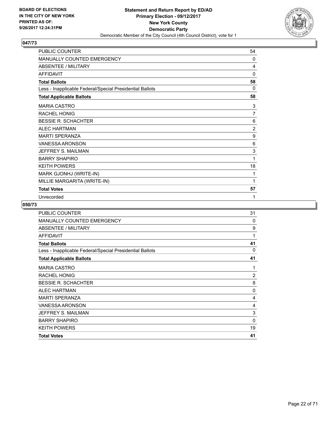

| PUBLIC COUNTER                                           | 54             |
|----------------------------------------------------------|----------------|
| MANUALLY COUNTED EMERGENCY                               | $\Omega$       |
| <b>ABSENTEE / MILITARY</b>                               | 4              |
| <b>AFFIDAVIT</b>                                         | 0              |
| <b>Total Ballots</b>                                     | 58             |
| Less - Inapplicable Federal/Special Presidential Ballots | $\Omega$       |
| <b>Total Applicable Ballots</b>                          | 58             |
| <b>MARIA CASTRO</b>                                      | 3              |
| <b>RACHEL HONIG</b>                                      | 7              |
| <b>BESSIE R. SCHACHTER</b>                               | 6              |
| <b>ALEC HARTMAN</b>                                      | $\overline{2}$ |
| <b>MARTI SPERANZA</b>                                    | 9              |
| <b>VANESSA ARONSON</b>                                   | 6              |
| JEFFREY S. MAILMAN                                       | 3              |
| <b>BARRY SHAPIRO</b>                                     | 1              |
| <b>KEITH POWERS</b>                                      | 18             |
| MARK GJONHJ (WRITE-IN)                                   | 1              |
| MILLIE MARGARITA (WRITE-IN)                              | 1              |
| <b>Total Votes</b>                                       | 57             |
| Unrecorded                                               | 1              |

| PUBLIC COUNTER                                           | 31             |
|----------------------------------------------------------|----------------|
| <b>MANUALLY COUNTED EMERGENCY</b>                        | 0              |
| <b>ABSENTEE / MILITARY</b>                               | 9              |
| AFFIDAVIT                                                | 1              |
| <b>Total Ballots</b>                                     | 41             |
| Less - Inapplicable Federal/Special Presidential Ballots | 0              |
| <b>Total Applicable Ballots</b>                          | 41             |
| <b>MARIA CASTRO</b>                                      | 1              |
| <b>RACHEL HONIG</b>                                      | $\overline{2}$ |
| <b>BESSIE R. SCHACHTER</b>                               | 8              |
| <b>ALEC HARTMAN</b>                                      | $\Omega$       |
| <b>MARTI SPERANZA</b>                                    | 4              |
| VANESSA ARONSON                                          | 4              |
| JEFFREY S. MAILMAN                                       | 3              |
| <b>BARRY SHAPIRO</b>                                     | 0              |
| <b>KEITH POWERS</b>                                      | 19             |
| <b>Total Votes</b>                                       | 41             |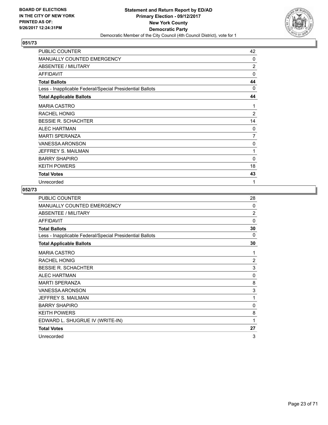

| PUBLIC COUNTER                                           | 42             |
|----------------------------------------------------------|----------------|
| <b>MANUALLY COUNTED EMERGENCY</b>                        | 0              |
| ABSENTEE / MILITARY                                      | $\overline{2}$ |
| <b>AFFIDAVIT</b>                                         | $\mathbf{0}$   |
| <b>Total Ballots</b>                                     | 44             |
| Less - Inapplicable Federal/Special Presidential Ballots | 0              |
| <b>Total Applicable Ballots</b>                          | 44             |
| <b>MARIA CASTRO</b>                                      | 1              |
| <b>RACHEL HONIG</b>                                      | $\overline{2}$ |
| <b>BESSIE R. SCHACHTER</b>                               | 14             |
| <b>ALEC HARTMAN</b>                                      | $\Omega$       |
| <b>MARTI SPERANZA</b>                                    | 7              |
| <b>VANESSA ARONSON</b>                                   | 0              |
| JEFFREY S. MAILMAN                                       | 1              |
| <b>BARRY SHAPIRO</b>                                     | 0              |
| <b>KEITH POWERS</b>                                      | 18             |
| <b>Total Votes</b>                                       | 43             |
| Unrecorded                                               | 1              |

| <b>PUBLIC COUNTER</b>                                    | 28             |
|----------------------------------------------------------|----------------|
| MANUALLY COUNTED EMERGENCY                               | $\mathbf{0}$   |
| ABSENTEE / MILITARY                                      | $\overline{2}$ |
| <b>AFFIDAVIT</b>                                         | $\mathbf{0}$   |
| <b>Total Ballots</b>                                     | 30             |
| Less - Inapplicable Federal/Special Presidential Ballots | 0              |
| <b>Total Applicable Ballots</b>                          | 30             |
| <b>MARIA CASTRO</b>                                      | 1              |
| <b>RACHEL HONIG</b>                                      | 2              |
| <b>BESSIE R. SCHACHTER</b>                               | 3              |
| <b>ALEC HARTMAN</b>                                      | 0              |
| <b>MARTI SPERANZA</b>                                    | 8              |
| <b>VANESSA ARONSON</b>                                   | 3              |
| JEFFREY S. MAILMAN                                       | 1              |
| <b>BARRY SHAPIRO</b>                                     | 0              |
| <b>KEITH POWERS</b>                                      | 8              |
| EDWARD L. SHUGRUE IV (WRITE-IN)                          | 1              |
| <b>Total Votes</b>                                       | 27             |
| Unrecorded                                               | 3              |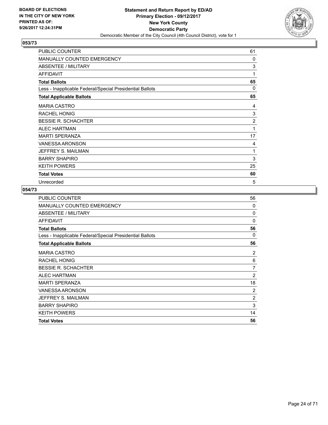

| PUBLIC COUNTER                                           | 61 |
|----------------------------------------------------------|----|
| <b>MANUALLY COUNTED EMERGENCY</b>                        | 0  |
| ABSENTEE / MILITARY                                      | 3  |
| <b>AFFIDAVIT</b>                                         | 1  |
| <b>Total Ballots</b>                                     | 65 |
| Less - Inapplicable Federal/Special Presidential Ballots | 0  |
| <b>Total Applicable Ballots</b>                          | 65 |
| <b>MARIA CASTRO</b>                                      | 4  |
| <b>RACHEL HONIG</b>                                      | 3  |
| <b>BESSIE R. SCHACHTER</b>                               | 2  |
| <b>ALEC HARTMAN</b>                                      | 1  |
| <b>MARTI SPERANZA</b>                                    | 17 |
| <b>VANESSA ARONSON</b>                                   | 4  |
| JEFFREY S. MAILMAN                                       | 1  |
| <b>BARRY SHAPIRO</b>                                     | 3  |
| <b>KEITH POWERS</b>                                      | 25 |
| <b>Total Votes</b>                                       | 60 |
| Unrecorded                                               | 5  |

| <b>PUBLIC COUNTER</b>                                    | 56             |
|----------------------------------------------------------|----------------|
| <b>MANUALLY COUNTED EMERGENCY</b>                        | $\Omega$       |
| ABSENTEE / MILITARY                                      | 0              |
| AFFIDAVIT                                                | 0              |
| <b>Total Ballots</b>                                     | 56             |
| Less - Inapplicable Federal/Special Presidential Ballots | 0              |
| <b>Total Applicable Ballots</b>                          | 56             |
| <b>MARIA CASTRO</b>                                      | 2              |
| <b>RACHEL HONIG</b>                                      | 6              |
| <b>BESSIE R. SCHACHTER</b>                               | 7              |
| <b>ALEC HARTMAN</b>                                      | $\overline{2}$ |
| <b>MARTI SPERANZA</b>                                    | 18             |
| VANESSA ARONSON                                          | $\overline{2}$ |
| JEFFREY S. MAILMAN                                       | $\overline{2}$ |
| <b>BARRY SHAPIRO</b>                                     | 3              |
| <b>KEITH POWERS</b>                                      | 14             |
| <b>Total Votes</b>                                       | 56             |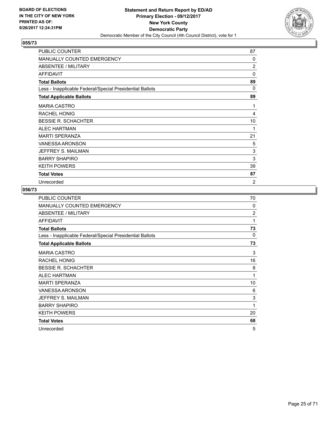

| PUBLIC COUNTER                                           | 87             |
|----------------------------------------------------------|----------------|
| <b>MANUALLY COUNTED EMERGENCY</b>                        | 0              |
| ABSENTEE / MILITARY                                      | 2              |
| <b>AFFIDAVIT</b>                                         | $\mathbf{0}$   |
| <b>Total Ballots</b>                                     | 89             |
| Less - Inapplicable Federal/Special Presidential Ballots | $\Omega$       |
| <b>Total Applicable Ballots</b>                          | 89             |
| <b>MARIA CASTRO</b>                                      | 1              |
| <b>RACHEL HONIG</b>                                      | 4              |
| <b>BESSIE R. SCHACHTER</b>                               | 10             |
| <b>ALEC HARTMAN</b>                                      | 1              |
| <b>MARTI SPERANZA</b>                                    | 21             |
| <b>VANESSA ARONSON</b>                                   | 5              |
| JEFFREY S. MAILMAN                                       | 3              |
| <b>BARRY SHAPIRO</b>                                     | 3              |
| <b>KEITH POWERS</b>                                      | 39             |
| <b>Total Votes</b>                                       | 87             |
| Unrecorded                                               | $\overline{c}$ |

| <b>PUBLIC COUNTER</b>                                    | 70             |
|----------------------------------------------------------|----------------|
| <b>MANUALLY COUNTED EMERGENCY</b>                        | $\Omega$       |
| ABSENTEE / MILITARY                                      | $\overline{2}$ |
| <b>AFFIDAVIT</b>                                         | 1              |
| <b>Total Ballots</b>                                     | 73             |
| Less - Inapplicable Federal/Special Presidential Ballots | 0              |
| <b>Total Applicable Ballots</b>                          | 73             |
| <b>MARIA CASTRO</b>                                      | 3              |
| RACHEL HONIG                                             | 16             |
| <b>BESSIE R. SCHACHTER</b>                               | 8              |
| <b>ALEC HARTMAN</b>                                      | 1              |
| <b>MARTI SPERANZA</b>                                    | 10             |
| VANESSA ARONSON                                          | 6              |
| JEFFREY S. MAILMAN                                       | 3              |
| <b>BARRY SHAPIRO</b>                                     | 1              |
| <b>KEITH POWERS</b>                                      | 20             |
| <b>Total Votes</b>                                       | 68             |
| Unrecorded                                               | 5              |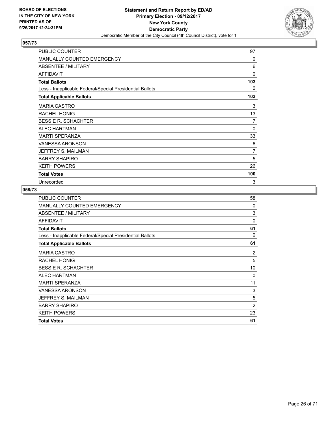

| PUBLIC COUNTER                                           | 97           |
|----------------------------------------------------------|--------------|
| <b>MANUALLY COUNTED EMERGENCY</b>                        | 0            |
| ABSENTEE / MILITARY                                      | 6            |
| <b>AFFIDAVIT</b>                                         | $\mathbf{0}$ |
| <b>Total Ballots</b>                                     | 103          |
| Less - Inapplicable Federal/Special Presidential Ballots | 0            |
| <b>Total Applicable Ballots</b>                          | 103          |
| <b>MARIA CASTRO</b>                                      | 3            |
| <b>RACHEL HONIG</b>                                      | 13           |
| <b>BESSIE R. SCHACHTER</b>                               | 7            |
| <b>ALEC HARTMAN</b>                                      | 0            |
| <b>MARTI SPERANZA</b>                                    | 33           |
| <b>VANESSA ARONSON</b>                                   | 6            |
| JEFFREY S. MAILMAN                                       | 7            |
| <b>BARRY SHAPIRO</b>                                     | 5            |
| <b>KEITH POWERS</b>                                      | 26           |
| <b>Total Votes</b>                                       | 100          |
| Unrecorded                                               | 3            |

| <b>PUBLIC COUNTER</b>                                    | 58             |
|----------------------------------------------------------|----------------|
| <b>MANUALLY COUNTED EMERGENCY</b>                        | $\Omega$       |
| ABSENTEE / MILITARY                                      | 3              |
| <b>AFFIDAVIT</b>                                         | 0              |
| <b>Total Ballots</b>                                     | 61             |
| Less - Inapplicable Federal/Special Presidential Ballots | 0              |
| <b>Total Applicable Ballots</b>                          | 61             |
| <b>MARIA CASTRO</b>                                      | 2              |
| <b>RACHEL HONIG</b>                                      | 5              |
| <b>BESSIE R. SCHACHTER</b>                               | 10             |
| <b>ALEC HARTMAN</b>                                      | 0              |
| <b>MARTI SPERANZA</b>                                    | 11             |
| VANESSA ARONSON                                          | 3              |
| JEFFREY S. MAILMAN                                       | 5              |
| <b>BARRY SHAPIRO</b>                                     | $\overline{2}$ |
| <b>KEITH POWERS</b>                                      | 23             |
| <b>Total Votes</b>                                       | 61             |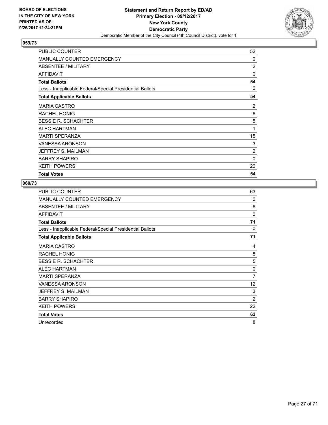

| <b>PUBLIC COUNTER</b>                                    | 52             |
|----------------------------------------------------------|----------------|
| MANUALLY COUNTED EMERGENCY                               | 0              |
| ABSENTEE / MILITARY                                      | $\overline{2}$ |
| <b>AFFIDAVIT</b>                                         | 0              |
| <b>Total Ballots</b>                                     | 54             |
| Less - Inapplicable Federal/Special Presidential Ballots | 0              |
| <b>Total Applicable Ballots</b>                          | 54             |
| <b>MARIA CASTRO</b>                                      | 2              |
| <b>RACHEL HONIG</b>                                      | 6              |
| <b>BESSIE R. SCHACHTER</b>                               | 5              |
| <b>ALEC HARTMAN</b>                                      | 1              |
| <b>MARTI SPERANZA</b>                                    | 15             |
| <b>VANESSA ARONSON</b>                                   | 3              |
| JEFFREY S. MAILMAN                                       | $\overline{c}$ |
| <b>BARRY SHAPIRO</b>                                     | $\Omega$       |
| <b>KEITH POWERS</b>                                      | 20             |
| <b>Total Votes</b>                                       | 54             |

| <b>PUBLIC COUNTER</b>                                    | 63             |
|----------------------------------------------------------|----------------|
| <b>MANUALLY COUNTED EMERGENCY</b>                        | 0              |
| ABSENTEE / MILITARY                                      | 8              |
| <b>AFFIDAVIT</b>                                         | 0              |
| <b>Total Ballots</b>                                     | 71             |
| Less - Inapplicable Federal/Special Presidential Ballots | 0              |
| <b>Total Applicable Ballots</b>                          | 71             |
| <b>MARIA CASTRO</b>                                      | 4              |
| <b>RACHEL HONIG</b>                                      | 8              |
| <b>BESSIE R. SCHACHTER</b>                               | 5              |
| <b>ALEC HARTMAN</b>                                      | 0              |
| <b>MARTI SPERANZA</b>                                    | 7              |
| <b>VANESSA ARONSON</b>                                   | 12             |
| JEFFREY S. MAILMAN                                       | 3              |
| <b>BARRY SHAPIRO</b>                                     | $\overline{2}$ |
| <b>KEITH POWERS</b>                                      | 22             |
| <b>Total Votes</b>                                       | 63             |
| Unrecorded                                               | 8              |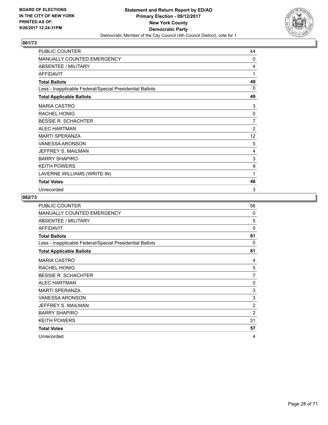

| PUBLIC COUNTER                                           | 44             |
|----------------------------------------------------------|----------------|
| MANUALLY COUNTED EMERGENCY                               | 0              |
| ABSENTEE / MILITARY                                      | 4              |
| <b>AFFIDAVIT</b>                                         | 1              |
| <b>Total Ballots</b>                                     | 49             |
| Less - Inapplicable Federal/Special Presidential Ballots | $\mathbf{0}$   |
| <b>Total Applicable Ballots</b>                          | 49             |
| <b>MARIA CASTRO</b>                                      | 3              |
| <b>RACHEL HONIG</b>                                      | 0              |
| <b>BESSIE R. SCHACHTER</b>                               | 7              |
| <b>ALEC HARTMAN</b>                                      | $\overline{2}$ |
| <b>MARTI SPERANZA</b>                                    | 12             |
| <b>VANESSA ARONSON</b>                                   | 5              |
| JEFFREY S. MAILMAN                                       | 4              |
| <b>BARRY SHAPIRO</b>                                     | 3              |
| <b>KEITH POWERS</b>                                      | 9              |
| LAVERNE WILLIAMS (WRITE-IN)                              | 1              |
| <b>Total Votes</b>                                       | 46             |
| Unrecorded                                               | 3              |

| <b>PUBLIC COUNTER</b>                                    | 56             |
|----------------------------------------------------------|----------------|
| MANUALLY COUNTED EMERGENCY                               | $\Omega$       |
| ABSENTEE / MILITARY                                      | 5              |
| <b>AFFIDAVIT</b>                                         | $\Omega$       |
| <b>Total Ballots</b>                                     | 61             |
| Less - Inapplicable Federal/Special Presidential Ballots | 0              |
| <b>Total Applicable Ballots</b>                          | 61             |
| <b>MARIA CASTRO</b>                                      | 4              |
| <b>RACHEL HONIG</b>                                      | 5              |
| <b>BESSIE R. SCHACHTER</b>                               | 7              |
| <b>ALEC HARTMAN</b>                                      | 0              |
| <b>MARTI SPERANZA</b>                                    | 3              |
| VANESSA ARONSON                                          | 3              |
| JEFFREY S. MAILMAN                                       | $\overline{2}$ |
| <b>BARRY SHAPIRO</b>                                     | $\overline{2}$ |
| <b>KEITH POWERS</b>                                      | 31             |
| <b>Total Votes</b>                                       | 57             |
| Unrecorded                                               | 4              |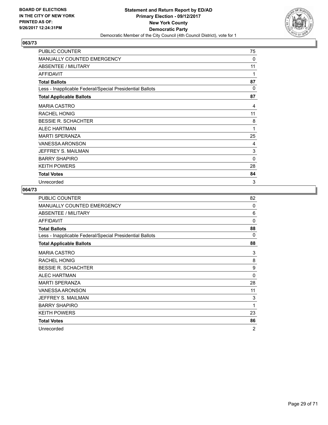

| PUBLIC COUNTER                                           | 75       |
|----------------------------------------------------------|----------|
| <b>MANUALLY COUNTED EMERGENCY</b>                        | 0        |
| ABSENTEE / MILITARY                                      | 11       |
| <b>AFFIDAVIT</b>                                         | 1        |
| <b>Total Ballots</b>                                     | 87       |
| Less - Inapplicable Federal/Special Presidential Ballots | $\Omega$ |
| <b>Total Applicable Ballots</b>                          | 87       |
| <b>MARIA CASTRO</b>                                      | 4        |
| <b>RACHEL HONIG</b>                                      | 11       |
| <b>BESSIE R. SCHACHTER</b>                               | 8        |
| <b>ALEC HARTMAN</b>                                      | 1        |
| <b>MARTI SPERANZA</b>                                    | 25       |
| <b>VANESSA ARONSON</b>                                   | 4        |
| JEFFREY S. MAILMAN                                       | 3        |
| <b>BARRY SHAPIRO</b>                                     | 0        |
| <b>KEITH POWERS</b>                                      | 28       |
| <b>Total Votes</b>                                       | 84       |
| Unrecorded                                               | 3        |

| <b>PUBLIC COUNTER</b>                                    | 82       |
|----------------------------------------------------------|----------|
| MANUALLY COUNTED EMERGENCY                               | 0        |
| ABSENTEE / MILITARY                                      | 6        |
| <b>AFFIDAVIT</b>                                         | $\Omega$ |
| <b>Total Ballots</b>                                     | 88       |
| Less - Inapplicable Federal/Special Presidential Ballots | 0        |
| <b>Total Applicable Ballots</b>                          | 88       |
| <b>MARIA CASTRO</b>                                      | 3        |
| <b>RACHEL HONIG</b>                                      | 8        |
| <b>BESSIE R. SCHACHTER</b>                               | 9        |
| <b>ALEC HARTMAN</b>                                      | $\Omega$ |
| <b>MARTI SPERANZA</b>                                    | 28       |
| <b>VANESSA ARONSON</b>                                   | 11       |
| JEFFREY S. MAILMAN                                       | 3        |
| <b>BARRY SHAPIRO</b>                                     | 1        |
| <b>KEITH POWERS</b>                                      | 23       |
| <b>Total Votes</b>                                       | 86       |
| Unrecorded                                               | 2        |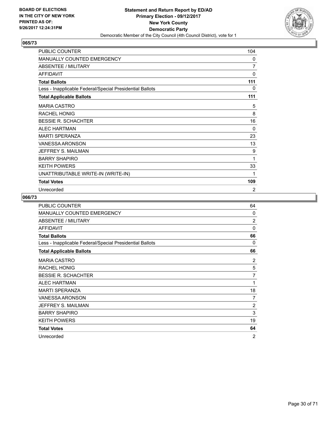

| PUBLIC COUNTER                                           | 104      |
|----------------------------------------------------------|----------|
| MANUALLY COUNTED EMERGENCY                               | 0        |
| <b>ABSENTEE / MILITARY</b>                               | 7        |
| <b>AFFIDAVIT</b>                                         | 0        |
| <b>Total Ballots</b>                                     | 111      |
| Less - Inapplicable Federal/Special Presidential Ballots | 0        |
| <b>Total Applicable Ballots</b>                          | 111      |
| <b>MARIA CASTRO</b>                                      | 5        |
| <b>RACHEL HONIG</b>                                      | 8        |
| <b>BESSIE R. SCHACHTER</b>                               | 16       |
| <b>ALEC HARTMAN</b>                                      | $\Omega$ |
| <b>MARTI SPERANZA</b>                                    | 23       |
| <b>VANESSA ARONSON</b>                                   | 13       |
| JEFFREY S. MAILMAN                                       | 9        |
| <b>BARRY SHAPIRO</b>                                     | 1        |
| <b>KEITH POWERS</b>                                      | 33       |
| UNATTRIBUTABLE WRITE-IN (WRITE-IN)                       | 1        |
| <b>Total Votes</b>                                       | 109      |
| Unrecorded                                               | 2        |

| <b>PUBLIC COUNTER</b>                                    | 64             |
|----------------------------------------------------------|----------------|
| <b>MANUALLY COUNTED EMERGENCY</b>                        | $\Omega$       |
| ABSENTEE / MILITARY                                      | $\overline{2}$ |
| <b>AFFIDAVIT</b>                                         | $\Omega$       |
| <b>Total Ballots</b>                                     | 66             |
| Less - Inapplicable Federal/Special Presidential Ballots | 0              |
| <b>Total Applicable Ballots</b>                          | 66             |
| <b>MARIA CASTRO</b>                                      | 2              |
| <b>RACHEL HONIG</b>                                      | 5              |
| <b>BESSIE R. SCHACHTER</b>                               | 7              |
| <b>ALEC HARTMAN</b>                                      | 1              |
| <b>MARTI SPERANZA</b>                                    | 18             |
| <b>VANESSA ARONSON</b>                                   | 7              |
| JEFFREY S. MAILMAN                                       | $\overline{2}$ |
| <b>BARRY SHAPIRO</b>                                     | 3              |
| <b>KEITH POWERS</b>                                      | 19             |
| <b>Total Votes</b>                                       | 64             |
| Unrecorded                                               | $\overline{2}$ |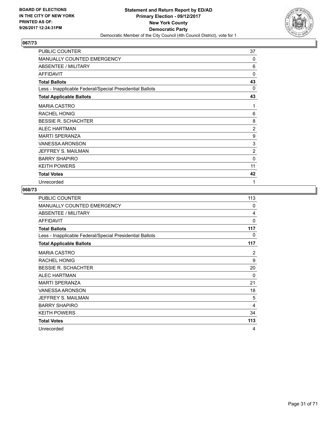

| PUBLIC COUNTER                                           | 37             |
|----------------------------------------------------------|----------------|
| <b>MANUALLY COUNTED EMERGENCY</b>                        | 0              |
| ABSENTEE / MILITARY                                      | 6              |
| <b>AFFIDAVIT</b>                                         | $\mathbf{0}$   |
| <b>Total Ballots</b>                                     | 43             |
| Less - Inapplicable Federal/Special Presidential Ballots | 0              |
| <b>Total Applicable Ballots</b>                          | 43             |
| <b>MARIA CASTRO</b>                                      | 1              |
| <b>RACHEL HONIG</b>                                      | 6              |
| <b>BESSIE R. SCHACHTER</b>                               | 8              |
| <b>ALEC HARTMAN</b>                                      | $\overline{2}$ |
| <b>MARTI SPERANZA</b>                                    | 9              |
| <b>VANESSA ARONSON</b>                                   | 3              |
| JEFFREY S. MAILMAN                                       | 2              |
| <b>BARRY SHAPIRO</b>                                     | 0              |
| <b>KEITH POWERS</b>                                      | 11             |
| <b>Total Votes</b>                                       | 42             |
| Unrecorded                                               | 1              |

| PUBLIC COUNTER                                           | 113 |
|----------------------------------------------------------|-----|
| <b>MANUALLY COUNTED EMERGENCY</b>                        | 0   |
| ABSENTEE / MILITARY                                      | 4   |
| <b>AFFIDAVIT</b>                                         | 0   |
| <b>Total Ballots</b>                                     | 117 |
| Less - Inapplicable Federal/Special Presidential Ballots | 0   |
| <b>Total Applicable Ballots</b>                          | 117 |
| <b>MARIA CASTRO</b>                                      | 2   |
| <b>RACHEL HONIG</b>                                      | 9   |
| <b>BESSIE R. SCHACHTER</b>                               | 20  |
| <b>ALEC HARTMAN</b>                                      | 0   |
| <b>MARTI SPERANZA</b>                                    | 21  |
| <b>VANESSA ARONSON</b>                                   | 18  |
| JEFFREY S. MAILMAN                                       | 5   |
| <b>BARRY SHAPIRO</b>                                     | 4   |
| <b>KEITH POWERS</b>                                      | 34  |
| <b>Total Votes</b>                                       | 113 |
| Unrecorded                                               | 4   |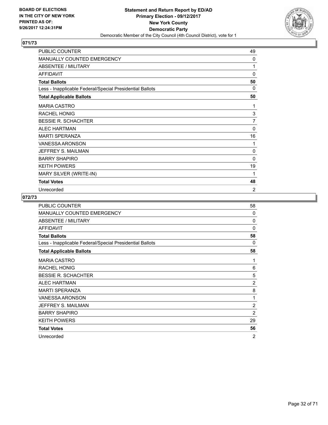

| PUBLIC COUNTER                                           | 49             |
|----------------------------------------------------------|----------------|
| <b>MANUALLY COUNTED EMERGENCY</b>                        | 0              |
| ABSENTEE / MILITARY                                      | 1              |
| <b>AFFIDAVIT</b>                                         | 0              |
| <b>Total Ballots</b>                                     | 50             |
| Less - Inapplicable Federal/Special Presidential Ballots | $\Omega$       |
| <b>Total Applicable Ballots</b>                          | 50             |
| <b>MARIA CASTRO</b>                                      | 1              |
| <b>RACHEL HONIG</b>                                      | 3              |
| <b>BESSIE R. SCHACHTER</b>                               | 7              |
| <b>ALEC HARTMAN</b>                                      | $\mathbf{0}$   |
| <b>MARTI SPERANZA</b>                                    | 16             |
| <b>VANESSA ARONSON</b>                                   | 1              |
| JEFFREY S. MAILMAN                                       | 0              |
| <b>BARRY SHAPIRO</b>                                     | 0              |
| <b>KEITH POWERS</b>                                      | 19             |
| MARY SILVER (WRITE-IN)                                   | 1              |
| <b>Total Votes</b>                                       | 48             |
| Unrecorded                                               | $\overline{2}$ |

| <b>PUBLIC COUNTER</b>                                    | 58             |
|----------------------------------------------------------|----------------|
| <b>MANUALLY COUNTED EMERGENCY</b>                        | $\Omega$       |
| <b>ABSENTEE / MILITARY</b>                               | $\Omega$       |
| <b>AFFIDAVIT</b>                                         | $\Omega$       |
| <b>Total Ballots</b>                                     | 58             |
| Less - Inapplicable Federal/Special Presidential Ballots | $\Omega$       |
| <b>Total Applicable Ballots</b>                          | 58             |
| <b>MARIA CASTRO</b>                                      | 1              |
| <b>RACHEL HONIG</b>                                      | 6              |
| <b>BESSIE R. SCHACHTER</b>                               | 5              |
| <b>ALEC HARTMAN</b>                                      | $\overline{2}$ |
| <b>MARTI SPERANZA</b>                                    | 8              |
| VANESSA ARONSON                                          | 1              |
| JEFFREY S. MAILMAN                                       | $\overline{2}$ |
| <b>BARRY SHAPIRO</b>                                     | $\overline{2}$ |
| <b>KEITH POWERS</b>                                      | 29             |
| <b>Total Votes</b>                                       | 56             |
| Unrecorded                                               | $\overline{2}$ |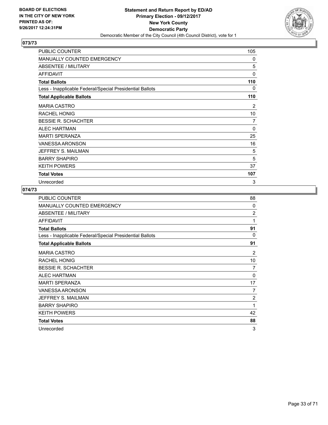

| PUBLIC COUNTER                                           | 105          |
|----------------------------------------------------------|--------------|
| <b>MANUALLY COUNTED EMERGENCY</b>                        | 0            |
| ABSENTEE / MILITARY                                      | 5            |
| <b>AFFIDAVIT</b>                                         | $\mathbf{0}$ |
| <b>Total Ballots</b>                                     | 110          |
| Less - Inapplicable Federal/Special Presidential Ballots | 0            |
| <b>Total Applicable Ballots</b>                          | 110          |
| <b>MARIA CASTRO</b>                                      | 2            |
| <b>RACHEL HONIG</b>                                      | 10           |
| <b>BESSIE R. SCHACHTER</b>                               | 7            |
| <b>ALEC HARTMAN</b>                                      | 0            |
| <b>MARTI SPERANZA</b>                                    | 25           |
| <b>VANESSA ARONSON</b>                                   | 16           |
| JEFFREY S. MAILMAN                                       | 5            |
| <b>BARRY SHAPIRO</b>                                     | 5            |
| <b>KEITH POWERS</b>                                      | 37           |
| <b>Total Votes</b>                                       | 107          |
| Unrecorded                                               | 3            |

| <b>PUBLIC COUNTER</b>                                    | 88             |
|----------------------------------------------------------|----------------|
| <b>MANUALLY COUNTED EMERGENCY</b>                        | $\Omega$       |
| ABSENTEE / MILITARY                                      | $\overline{2}$ |
| <b>AFFIDAVIT</b>                                         | 1              |
| <b>Total Ballots</b>                                     | 91             |
| Less - Inapplicable Federal/Special Presidential Ballots | $\Omega$       |
| <b>Total Applicable Ballots</b>                          | 91             |
| <b>MARIA CASTRO</b>                                      | $\overline{2}$ |
| <b>RACHEL HONIG</b>                                      | 10             |
| <b>BESSIE R. SCHACHTER</b>                               | 7              |
| <b>ALEC HARTMAN</b>                                      | 0              |
| <b>MARTI SPERANZA</b>                                    | 17             |
| VANESSA ARONSON                                          | 7              |
| JEFFREY S. MAILMAN                                       | 2              |
| <b>BARRY SHAPIRO</b>                                     | 1              |
| <b>KEITH POWERS</b>                                      | 42             |
| <b>Total Votes</b>                                       | 88             |
| Unrecorded                                               | 3              |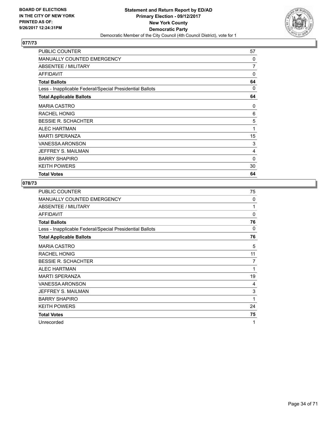

| <b>PUBLIC COUNTER</b>                                    | 57       |
|----------------------------------------------------------|----------|
| <b>MANUALLY COUNTED EMERGENCY</b>                        | $\Omega$ |
| ABSENTEE / MILITARY                                      | 7        |
| <b>AFFIDAVIT</b>                                         | 0        |
| <b>Total Ballots</b>                                     | 64       |
| Less - Inapplicable Federal/Special Presidential Ballots | 0        |
| <b>Total Applicable Ballots</b>                          | 64       |
| <b>MARIA CASTRO</b>                                      | 0        |
| RACHEL HONIG                                             | 6        |
| <b>BESSIE R. SCHACHTER</b>                               | 5        |
| <b>ALEC HARTMAN</b>                                      | 1        |
| <b>MARTI SPERANZA</b>                                    | 15       |
| <b>VANESSA ARONSON</b>                                   | 3        |
| JEFFREY S. MAILMAN                                       | 4        |
| <b>BARRY SHAPIRO</b>                                     | 0        |
| <b>KEITH POWERS</b>                                      | 30       |
| <b>Total Votes</b>                                       | 64       |

| <b>PUBLIC COUNTER</b>                                    | 75       |
|----------------------------------------------------------|----------|
| <b>MANUALLY COUNTED EMERGENCY</b>                        | $\Omega$ |
| ABSENTEE / MILITARY                                      | 1        |
| <b>AFFIDAVIT</b>                                         | $\Omega$ |
| <b>Total Ballots</b>                                     | 76       |
| Less - Inapplicable Federal/Special Presidential Ballots | 0        |
| <b>Total Applicable Ballots</b>                          | 76       |
| <b>MARIA CASTRO</b>                                      | 5        |
| <b>RACHEL HONIG</b>                                      | 11       |
| <b>BESSIE R. SCHACHTER</b>                               | 7        |
| <b>ALEC HARTMAN</b>                                      | 1        |
| <b>MARTI SPERANZA</b>                                    | 19       |
| <b>VANESSA ARONSON</b>                                   | 4        |
| JEFFREY S. MAILMAN                                       | 3        |
| <b>BARRY SHAPIRO</b>                                     | 1        |
| <b>KEITH POWERS</b>                                      | 24       |
| <b>Total Votes</b>                                       | 75       |
| Unrecorded                                               | 1        |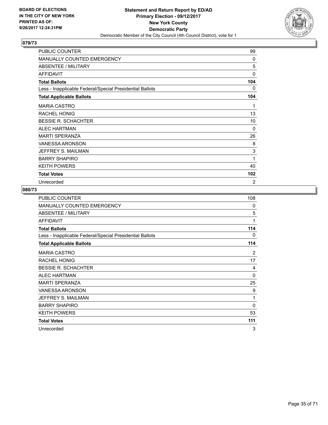

| PUBLIC COUNTER                                           | 99           |
|----------------------------------------------------------|--------------|
| <b>MANUALLY COUNTED EMERGENCY</b>                        | 0            |
| ABSENTEE / MILITARY                                      | 5            |
| <b>AFFIDAVIT</b>                                         | $\mathbf{0}$ |
| <b>Total Ballots</b>                                     | 104          |
| Less - Inapplicable Federal/Special Presidential Ballots | 0            |
| <b>Total Applicable Ballots</b>                          | 104          |
| <b>MARIA CASTRO</b>                                      | 1            |
| <b>RACHEL HONIG</b>                                      | 13           |
| <b>BESSIE R. SCHACHTER</b>                               | 10           |
| <b>ALEC HARTMAN</b>                                      | $\Omega$     |
| <b>MARTI SPERANZA</b>                                    | 26           |
| <b>VANESSA ARONSON</b>                                   | 8            |
| JEFFREY S. MAILMAN                                       | 3            |
| <b>BARRY SHAPIRO</b>                                     | 1            |
| <b>KEITH POWERS</b>                                      | 40           |
| <b>Total Votes</b>                                       | 102          |
| Unrecorded                                               | 2            |

| PUBLIC COUNTER                                           | 108 |
|----------------------------------------------------------|-----|
| <b>MANUALLY COUNTED EMERGENCY</b>                        | 0   |
| ABSENTEE / MILITARY                                      | 5   |
| <b>AFFIDAVIT</b>                                         | 1   |
| <b>Total Ballots</b>                                     | 114 |
| Less - Inapplicable Federal/Special Presidential Ballots | 0   |
| <b>Total Applicable Ballots</b>                          | 114 |
| <b>MARIA CASTRO</b>                                      | 2   |
| RACHEL HONIG                                             | 17  |
| <b>BESSIE R. SCHACHTER</b>                               | 4   |
| <b>ALEC HARTMAN</b>                                      | 0   |
| <b>MARTI SPERANZA</b>                                    | 25  |
| <b>VANESSA ARONSON</b>                                   | 9   |
| JEFFREY S. MAILMAN                                       | 1   |
| <b>BARRY SHAPIRO</b>                                     | 0   |
| <b>KEITH POWERS</b>                                      | 53  |
| <b>Total Votes</b>                                       | 111 |
| Unrecorded                                               | 3   |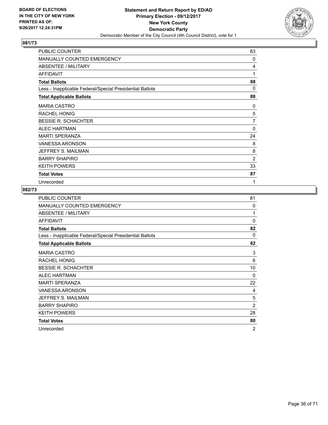

| PUBLIC COUNTER                                           | 83           |
|----------------------------------------------------------|--------------|
| <b>MANUALLY COUNTED EMERGENCY</b>                        | 0            |
| ABSENTEE / MILITARY                                      | 4            |
| <b>AFFIDAVIT</b>                                         | 1            |
| <b>Total Ballots</b>                                     | 88           |
| Less - Inapplicable Federal/Special Presidential Ballots | 0            |
| <b>Total Applicable Ballots</b>                          | 88           |
| <b>MARIA CASTRO</b>                                      | 0            |
| <b>RACHEL HONIG</b>                                      | 5            |
| <b>BESSIE R. SCHACHTER</b>                               | 7            |
| <b>ALEC HARTMAN</b>                                      | $\mathbf{0}$ |
| <b>MARTI SPERANZA</b>                                    | 24           |
| <b>VANESSA ARONSON</b>                                   | 8            |
| JEFFREY S. MAILMAN                                       | 8            |
| <b>BARRY SHAPIRO</b>                                     | 2            |
| <b>KEITH POWERS</b>                                      | 33           |
| <b>Total Votes</b>                                       | 87           |
| Unrecorded                                               | 1            |

| <b>PUBLIC COUNTER</b>                                    | 81             |
|----------------------------------------------------------|----------------|
| MANUALLY COUNTED EMERGENCY                               | 0              |
| ABSENTEE / MILITARY                                      | 1              |
| <b>AFFIDAVIT</b>                                         | $\Omega$       |
| <b>Total Ballots</b>                                     | 82             |
| Less - Inapplicable Federal/Special Presidential Ballots | 0              |
| <b>Total Applicable Ballots</b>                          | 82             |
| <b>MARIA CASTRO</b>                                      | 3              |
| <b>RACHEL HONIG</b>                                      | 6              |
| <b>BESSIE R. SCHACHTER</b>                               | 10             |
| <b>ALEC HARTMAN</b>                                      | $\Omega$       |
| <b>MARTI SPERANZA</b>                                    | 22             |
| <b>VANESSA ARONSON</b>                                   | 4              |
| JEFFREY S. MAILMAN                                       | 5              |
| <b>BARRY SHAPIRO</b>                                     | $\overline{2}$ |
| <b>KEITH POWERS</b>                                      | 28             |
| <b>Total Votes</b>                                       | 80             |
| Unrecorded                                               | 2              |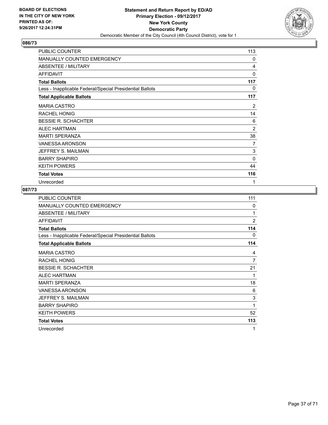

| PUBLIC COUNTER                                           | 113 |
|----------------------------------------------------------|-----|
| <b>MANUALLY COUNTED EMERGENCY</b>                        | 0   |
| ABSENTEE / MILITARY                                      | 4   |
| <b>AFFIDAVIT</b>                                         | 0   |
| <b>Total Ballots</b>                                     | 117 |
| Less - Inapplicable Federal/Special Presidential Ballots | 0   |
| <b>Total Applicable Ballots</b>                          | 117 |
| <b>MARIA CASTRO</b>                                      | 2   |
| <b>RACHEL HONIG</b>                                      | 14  |
| <b>BESSIE R. SCHACHTER</b>                               | 6   |
| <b>ALEC HARTMAN</b>                                      | 2   |
| <b>MARTI SPERANZA</b>                                    | 38  |
| <b>VANESSA ARONSON</b>                                   | 7   |
| JEFFREY S. MAILMAN                                       | 3   |
| <b>BARRY SHAPIRO</b>                                     | 0   |
| <b>KEITH POWERS</b>                                      | 44  |
| <b>Total Votes</b>                                       | 116 |
| Unrecorded                                               | 1   |

| PUBLIC COUNTER                                           | 111            |
|----------------------------------------------------------|----------------|
| <b>MANUALLY COUNTED EMERGENCY</b>                        | 0              |
| ABSENTEE / MILITARY                                      | 1              |
| <b>AFFIDAVIT</b>                                         | $\overline{2}$ |
| <b>Total Ballots</b>                                     | 114            |
| Less - Inapplicable Federal/Special Presidential Ballots | 0              |
| <b>Total Applicable Ballots</b>                          | 114            |
| <b>MARIA CASTRO</b>                                      | 4              |
| RACHEL HONIG                                             | 7              |
| <b>BESSIE R. SCHACHTER</b>                               | 21             |
| <b>ALEC HARTMAN</b>                                      | 1              |
| <b>MARTI SPERANZA</b>                                    | 18             |
| <b>VANESSA ARONSON</b>                                   | 6              |
| JEFFREY S. MAILMAN                                       | 3              |
| <b>BARRY SHAPIRO</b>                                     | 1              |
| <b>KEITH POWERS</b>                                      | 52             |
| <b>Total Votes</b>                                       | 113            |
| Unrecorded                                               | 1              |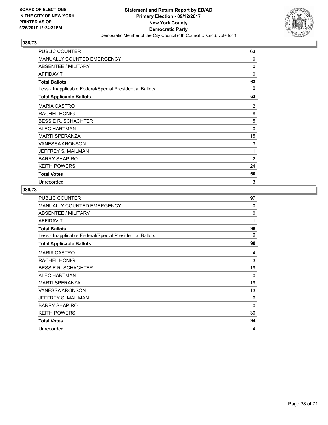

| PUBLIC COUNTER                                           | 63           |
|----------------------------------------------------------|--------------|
| <b>MANUALLY COUNTED EMERGENCY</b>                        | 0            |
| ABSENTEE / MILITARY                                      | $\mathbf{0}$ |
| <b>AFFIDAVIT</b>                                         | 0            |
| <b>Total Ballots</b>                                     | 63           |
| Less - Inapplicable Federal/Special Presidential Ballots | 0            |
| <b>Total Applicable Ballots</b>                          | 63           |
| <b>MARIA CASTRO</b>                                      | 2            |
| <b>RACHEL HONIG</b>                                      | 8            |
| <b>BESSIE R. SCHACHTER</b>                               | 5            |
| <b>ALEC HARTMAN</b>                                      | $\mathbf{0}$ |
| <b>MARTI SPERANZA</b>                                    | 15           |
| <b>VANESSA ARONSON</b>                                   | 3            |
| JEFFREY S. MAILMAN                                       | 1            |
| <b>BARRY SHAPIRO</b>                                     | 2            |
| <b>KEITH POWERS</b>                                      | 24           |
| <b>Total Votes</b>                                       | 60           |
| Unrecorded                                               | 3            |

| <b>PUBLIC COUNTER</b>                                    | 97           |
|----------------------------------------------------------|--------------|
| <b>MANUALLY COUNTED EMERGENCY</b>                        | $\Omega$     |
| ABSENTEE / MILITARY                                      | $\mathbf 0$  |
| <b>AFFIDAVIT</b>                                         | $\mathbf{1}$ |
| <b>Total Ballots</b>                                     | 98           |
| Less - Inapplicable Federal/Special Presidential Ballots | 0            |
| <b>Total Applicable Ballots</b>                          | 98           |
| <b>MARIA CASTRO</b>                                      | 4            |
| RACHEL HONIG                                             | 3            |
| <b>BESSIE R. SCHACHTER</b>                               | 19           |
| <b>ALEC HARTMAN</b>                                      | $\Omega$     |
| <b>MARTI SPERANZA</b>                                    | 19           |
| VANESSA ARONSON                                          | 13           |
| JEFFREY S. MAILMAN                                       | 6            |
| <b>BARRY SHAPIRO</b>                                     | 0            |
| <b>KEITH POWERS</b>                                      | 30           |
| <b>Total Votes</b>                                       | 94           |
| Unrecorded                                               | 4            |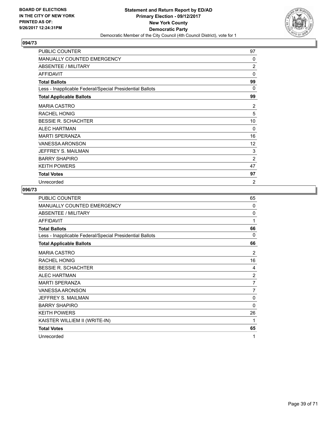

| PUBLIC COUNTER                                           | 97             |
|----------------------------------------------------------|----------------|
| <b>MANUALLY COUNTED EMERGENCY</b>                        | 0              |
| ABSENTEE / MILITARY                                      | 2              |
| <b>AFFIDAVIT</b>                                         | $\Omega$       |
| <b>Total Ballots</b>                                     | 99             |
| Less - Inapplicable Federal/Special Presidential Ballots | $\Omega$       |
| <b>Total Applicable Ballots</b>                          | 99             |
| <b>MARIA CASTRO</b>                                      | 2              |
| <b>RACHEL HONIG</b>                                      | 5              |
| <b>BESSIE R. SCHACHTER</b>                               | 10             |
| <b>ALEC HARTMAN</b>                                      | $\Omega$       |
| <b>MARTI SPERANZA</b>                                    | 16             |
| <b>VANESSA ARONSON</b>                                   | 12             |
| JEFFREY S. MAILMAN                                       | 3              |
| <b>BARRY SHAPIRO</b>                                     | 2              |
| <b>KEITH POWERS</b>                                      | 47             |
| <b>Total Votes</b>                                       | 97             |
| Unrecorded                                               | $\overline{2}$ |

| <b>PUBLIC COUNTER</b>                                    | 65             |
|----------------------------------------------------------|----------------|
| MANUALLY COUNTED EMERGENCY                               | 0              |
| ABSENTEE / MILITARY                                      | $\Omega$       |
| <b>AFFIDAVIT</b>                                         | 1              |
| <b>Total Ballots</b>                                     | 66             |
| Less - Inapplicable Federal/Special Presidential Ballots | 0              |
| <b>Total Applicable Ballots</b>                          | 66             |
| <b>MARIA CASTRO</b>                                      | 2              |
| <b>RACHEL HONIG</b>                                      | 16             |
| <b>BESSIE R. SCHACHTER</b>                               | 4              |
| <b>ALEC HARTMAN</b>                                      | $\overline{c}$ |
| <b>MARTI SPERANZA</b>                                    | 7              |
| <b>VANESSA ARONSON</b>                                   | 7              |
| JEFFREY S. MAILMAN                                       | 0              |
| <b>BARRY SHAPIRO</b>                                     | 0              |
| <b>KEITH POWERS</b>                                      | 26             |
| KAISTER WILLIEM II (WRITE-IN)                            | 1              |
| <b>Total Votes</b>                                       | 65             |
| Unrecorded                                               | 1              |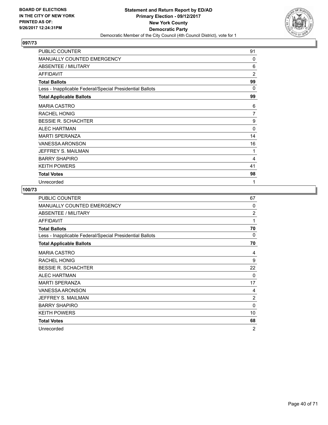

| PUBLIC COUNTER                                           | 91           |
|----------------------------------------------------------|--------------|
| <b>MANUALLY COUNTED EMERGENCY</b>                        | 0            |
| ABSENTEE / MILITARY                                      | 6            |
| <b>AFFIDAVIT</b>                                         | 2            |
| <b>Total Ballots</b>                                     | 99           |
| Less - Inapplicable Federal/Special Presidential Ballots | 0            |
| <b>Total Applicable Ballots</b>                          | 99           |
| <b>MARIA CASTRO</b>                                      | 6            |
| <b>RACHEL HONIG</b>                                      | 7            |
| <b>BESSIE R. SCHACHTER</b>                               | 9            |
| <b>ALEC HARTMAN</b>                                      | $\mathbf{0}$ |
| <b>MARTI SPERANZA</b>                                    | 14           |
| <b>VANESSA ARONSON</b>                                   | 16           |
| JEFFREY S. MAILMAN                                       | 1            |
| <b>BARRY SHAPIRO</b>                                     | 4            |
| <b>KEITH POWERS</b>                                      | 41           |
| <b>Total Votes</b>                                       | 98           |
| Unrecorded                                               | 1            |

| <b>PUBLIC COUNTER</b>                                    | 67             |
|----------------------------------------------------------|----------------|
| MANUALLY COUNTED EMERGENCY                               | $\Omega$       |
| ABSENTEE / MILITARY                                      | $\overline{2}$ |
| <b>AFFIDAVIT</b>                                         | 1              |
| <b>Total Ballots</b>                                     | 70             |
| Less - Inapplicable Federal/Special Presidential Ballots | 0              |
| <b>Total Applicable Ballots</b>                          | 70             |
| <b>MARIA CASTRO</b>                                      | 4              |
| RACHEL HONIG                                             | 9              |
| <b>BESSIE R. SCHACHTER</b>                               | 22             |
| <b>ALEC HARTMAN</b>                                      | $\Omega$       |
| <b>MARTI SPERANZA</b>                                    | 17             |
| <b>VANESSA ARONSON</b>                                   | 4              |
| JEFFREY S. MAILMAN                                       | $\overline{2}$ |
| <b>BARRY SHAPIRO</b>                                     | $\Omega$       |
| <b>KEITH POWERS</b>                                      | 10             |
| <b>Total Votes</b>                                       | 68             |
| Unrecorded                                               | $\overline{2}$ |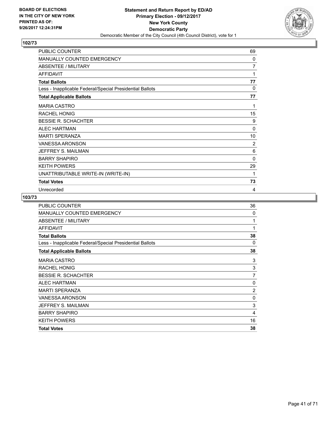

| PUBLIC COUNTER                                           | 69             |
|----------------------------------------------------------|----------------|
| MANUALLY COUNTED EMERGENCY                               | 0              |
| <b>ABSENTEE / MILITARY</b>                               | 7              |
| <b>AFFIDAVIT</b>                                         | 1              |
| <b>Total Ballots</b>                                     | 77             |
| Less - Inapplicable Federal/Special Presidential Ballots | $\mathbf{0}$   |
| <b>Total Applicable Ballots</b>                          | 77             |
| <b>MARIA CASTRO</b>                                      | 1              |
| <b>RACHEL HONIG</b>                                      | 15             |
| <b>BESSIE R. SCHACHTER</b>                               | 9              |
| <b>ALEC HARTMAN</b>                                      | $\mathbf{0}$   |
| <b>MARTI SPERANZA</b>                                    | 10             |
| <b>VANESSA ARONSON</b>                                   | $\overline{2}$ |
| JEFFREY S. MAILMAN                                       | 6              |
| <b>BARRY SHAPIRO</b>                                     | $\mathbf{0}$   |
| <b>KEITH POWERS</b>                                      | 29             |
| UNATTRIBUTABLE WRITE-IN (WRITE-IN)                       | 1              |
| <b>Total Votes</b>                                       | 73             |
| Unrecorded                                               | 4              |

| <b>PUBLIC COUNTER</b>                                    | 36             |
|----------------------------------------------------------|----------------|
| MANUALLY COUNTED EMERGENCY                               | 0              |
| ABSENTEE / MILITARY                                      | 1              |
| <b>AFFIDAVIT</b>                                         | 1              |
| <b>Total Ballots</b>                                     | 38             |
| Less - Inapplicable Federal/Special Presidential Ballots | 0              |
| <b>Total Applicable Ballots</b>                          | 38             |
| <b>MARIA CASTRO</b>                                      | 3              |
| <b>RACHEL HONIG</b>                                      | 3              |
| <b>BESSIE R. SCHACHTER</b>                               | $\overline{7}$ |
| <b>ALEC HARTMAN</b>                                      | $\Omega$       |
| <b>MARTI SPERANZA</b>                                    | $\overline{2}$ |
| <b>VANESSA ARONSON</b>                                   | 0              |
| JEFFREY S. MAILMAN                                       | 3              |
| <b>BARRY SHAPIRO</b>                                     | 4              |
| <b>KEITH POWERS</b>                                      | 16             |
| <b>Total Votes</b>                                       | 38             |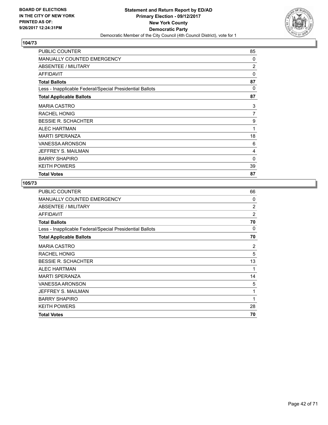

| <b>PUBLIC COUNTER</b>                                    | 85             |
|----------------------------------------------------------|----------------|
| <b>MANUALLY COUNTED EMERGENCY</b>                        | $\Omega$       |
| ABSENTEE / MILITARY                                      | $\overline{2}$ |
| AFFIDAVIT                                                | 0              |
| <b>Total Ballots</b>                                     | 87             |
| Less - Inapplicable Federal/Special Presidential Ballots | 0              |
| <b>Total Applicable Ballots</b>                          | 87             |
| <b>MARIA CASTRO</b>                                      | 3              |
| RACHEL HONIG                                             | 7              |
| <b>BESSIE R. SCHACHTER</b>                               | 9              |
| <b>ALEC HARTMAN</b>                                      | 1              |
| <b>MARTI SPERANZA</b>                                    | 18             |
| <b>VANESSA ARONSON</b>                                   | 6              |
| JEFFREY S. MAILMAN                                       | 4              |
| <b>BARRY SHAPIRO</b>                                     | 0              |
| <b>KEITH POWERS</b>                                      | 39             |
| <b>Total Votes</b>                                       | 87             |

| <b>PUBLIC COUNTER</b>                                    | 66             |
|----------------------------------------------------------|----------------|
| <b>MANUALLY COUNTED EMERGENCY</b>                        | 0              |
| ABSENTEE / MILITARY                                      | 2              |
| <b>AFFIDAVIT</b>                                         | $\overline{2}$ |
| <b>Total Ballots</b>                                     | 70             |
| Less - Inapplicable Federal/Special Presidential Ballots | 0              |
| <b>Total Applicable Ballots</b>                          | 70             |
| <b>MARIA CASTRO</b>                                      | 2              |
| RACHEL HONIG                                             | 5              |
| <b>BESSIE R. SCHACHTER</b>                               | 13             |
| <b>ALEC HARTMAN</b>                                      | 1              |
| <b>MARTI SPERANZA</b>                                    | 14             |
| <b>VANESSA ARONSON</b>                                   | 5              |
| JEFFREY S. MAILMAN                                       | 1              |
| <b>BARRY SHAPIRO</b>                                     | 1              |
| <b>KEITH POWERS</b>                                      | 28             |
| <b>Total Votes</b>                                       | 70             |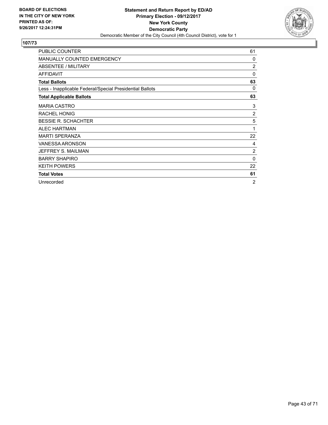

| <b>PUBLIC COUNTER</b>                                    | 61             |
|----------------------------------------------------------|----------------|
| <b>MANUALLY COUNTED EMERGENCY</b>                        | $\Omega$       |
| <b>ABSENTEE / MILITARY</b>                               | $\overline{2}$ |
| <b>AFFIDAVIT</b>                                         | $\Omega$       |
| <b>Total Ballots</b>                                     | 63             |
| Less - Inapplicable Federal/Special Presidential Ballots | $\Omega$       |
| <b>Total Applicable Ballots</b>                          | 63             |
| <b>MARIA CASTRO</b>                                      | 3              |
| <b>RACHEL HONIG</b>                                      | $\overline{2}$ |
| <b>BESSIE R. SCHACHTER</b>                               | 5              |
| <b>ALEC HARTMAN</b>                                      | 1              |
| <b>MARTI SPERANZA</b>                                    | 22             |
| <b>VANESSA ARONSON</b>                                   | 4              |
| JEFFREY S. MAILMAN                                       | $\overline{2}$ |
| <b>BARRY SHAPIRO</b>                                     | 0              |
| <b>KEITH POWERS</b>                                      | 22             |
| <b>Total Votes</b>                                       | 61             |
| Unrecorded                                               | $\overline{2}$ |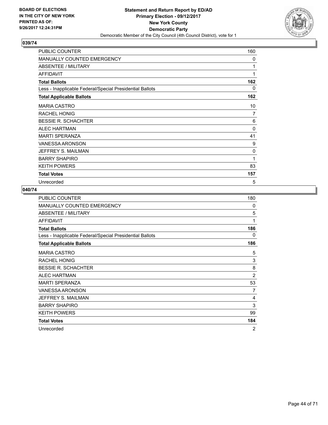

| PUBLIC COUNTER                                           | 160 |
|----------------------------------------------------------|-----|
| <b>MANUALLY COUNTED EMERGENCY</b>                        | 0   |
| ABSENTEE / MILITARY                                      | 1   |
| <b>AFFIDAVIT</b>                                         | 1   |
| <b>Total Ballots</b>                                     | 162 |
| Less - Inapplicable Federal/Special Presidential Ballots | 0   |
| <b>Total Applicable Ballots</b>                          | 162 |
| <b>MARIA CASTRO</b>                                      | 10  |
| <b>RACHEL HONIG</b>                                      | 7   |
| <b>BESSIE R. SCHACHTER</b>                               | 6   |
| <b>ALEC HARTMAN</b>                                      | 0   |
| <b>MARTI SPERANZA</b>                                    | 41  |
| <b>VANESSA ARONSON</b>                                   | 9   |
| JEFFREY S. MAILMAN                                       | 0   |
| <b>BARRY SHAPIRO</b>                                     | 1   |
| <b>KEITH POWERS</b>                                      | 83  |
| <b>Total Votes</b>                                       | 157 |
| Unrecorded                                               | 5   |

| PUBLIC COUNTER                                           | 180            |
|----------------------------------------------------------|----------------|
| <b>MANUALLY COUNTED EMERGENCY</b>                        | 0              |
| ABSENTEE / MILITARY                                      | 5              |
| <b>AFFIDAVIT</b>                                         | 1              |
| <b>Total Ballots</b>                                     | 186            |
| Less - Inapplicable Federal/Special Presidential Ballots | 0              |
| <b>Total Applicable Ballots</b>                          | 186            |
| <b>MARIA CASTRO</b>                                      | 5              |
| RACHEL HONIG                                             | 3              |
| <b>BESSIE R. SCHACHTER</b>                               | 8              |
| <b>ALEC HARTMAN</b>                                      | $\overline{2}$ |
| <b>MARTI SPERANZA</b>                                    | 53             |
| <b>VANESSA ARONSON</b>                                   | 7              |
| JEFFREY S. MAILMAN                                       | 4              |
| <b>BARRY SHAPIRO</b>                                     | 3              |
| <b>KEITH POWERS</b>                                      | 99             |
| <b>Total Votes</b>                                       | 184            |
| Unrecorded                                               | 2              |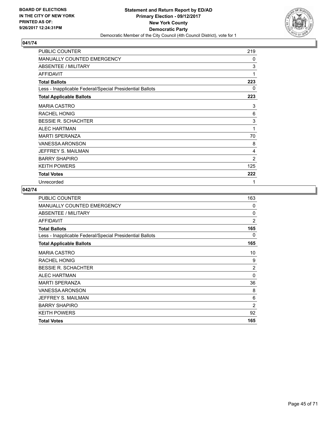

| PUBLIC COUNTER                                           | 219 |
|----------------------------------------------------------|-----|
| <b>MANUALLY COUNTED EMERGENCY</b>                        | 0   |
| ABSENTEE / MILITARY                                      | 3   |
| <b>AFFIDAVIT</b>                                         | 1   |
| <b>Total Ballots</b>                                     | 223 |
| Less - Inapplicable Federal/Special Presidential Ballots | 0   |
| <b>Total Applicable Ballots</b>                          | 223 |
| <b>MARIA CASTRO</b>                                      | 3   |
| <b>RACHEL HONIG</b>                                      | 6   |
| <b>BESSIE R. SCHACHTER</b>                               | 3   |
| <b>ALEC HARTMAN</b>                                      | 1   |
| <b>MARTI SPERANZA</b>                                    | 70  |
| <b>VANESSA ARONSON</b>                                   | 8   |
| JEFFREY S. MAILMAN                                       | 4   |
| <b>BARRY SHAPIRO</b>                                     | 2   |
| <b>KEITH POWERS</b>                                      | 125 |
| <b>Total Votes</b>                                       | 222 |
| Unrecorded                                               | 1   |

| <b>PUBLIC COUNTER</b>                                    | 163            |
|----------------------------------------------------------|----------------|
| MANUALLY COUNTED EMERGENCY                               | 0              |
| ABSENTEE / MILITARY                                      | 0              |
| <b>AFFIDAVIT</b>                                         | $\overline{2}$ |
| <b>Total Ballots</b>                                     | 165            |
| Less - Inapplicable Federal/Special Presidential Ballots | 0              |
| <b>Total Applicable Ballots</b>                          | 165            |
| <b>MARIA CASTRO</b>                                      | 10             |
| <b>RACHEL HONIG</b>                                      | 9              |
| <b>BESSIE R. SCHACHTER</b>                               | $\overline{2}$ |
| <b>ALEC HARTMAN</b>                                      | $\Omega$       |
| <b>MARTI SPERANZA</b>                                    | 36             |
| <b>VANESSA ARONSON</b>                                   | 8              |
| JEFFREY S. MAILMAN                                       | 6              |
| <b>BARRY SHAPIRO</b>                                     | $\overline{2}$ |
| <b>KEITH POWERS</b>                                      | 92             |
| <b>Total Votes</b>                                       | 165            |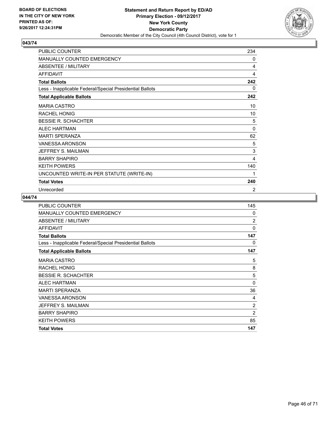

| PUBLIC COUNTER                                           | 234         |
|----------------------------------------------------------|-------------|
| MANUALLY COUNTED EMERGENCY                               | 0           |
| <b>ABSENTEE / MILITARY</b>                               | 4           |
| <b>AFFIDAVIT</b>                                         | 4           |
| <b>Total Ballots</b>                                     | 242         |
| Less - Inapplicable Federal/Special Presidential Ballots | 0           |
| <b>Total Applicable Ballots</b>                          | 242         |
| <b>MARIA CASTRO</b>                                      | 10          |
| <b>RACHEL HONIG</b>                                      | 10          |
| <b>BESSIE R. SCHACHTER</b>                               | 5           |
| <b>ALEC HARTMAN</b>                                      | $\mathbf 0$ |
| <b>MARTI SPERANZA</b>                                    | 62          |
| VANESSA ARONSON                                          | 5           |
| JEFFREY S. MAILMAN                                       | 3           |
| <b>BARRY SHAPIRO</b>                                     | 4           |
| <b>KEITH POWERS</b>                                      | 140         |
| UNCOUNTED WRITE-IN PER STATUTE (WRITE-IN)                | 1           |
| <b>Total Votes</b>                                       | 240         |
| Unrecorded                                               | 2           |

| <b>PUBLIC COUNTER</b>                                    | 145            |
|----------------------------------------------------------|----------------|
| MANUALLY COUNTED EMERGENCY                               | 0              |
| ABSENTEE / MILITARY                                      | $\overline{2}$ |
| <b>AFFIDAVIT</b>                                         | $\Omega$       |
| <b>Total Ballots</b>                                     | 147            |
| Less - Inapplicable Federal/Special Presidential Ballots | 0              |
| <b>Total Applicable Ballots</b>                          | 147            |
| <b>MARIA CASTRO</b>                                      | 5              |
| <b>RACHEL HONIG</b>                                      | 8              |
| <b>BESSIE R. SCHACHTER</b>                               | 5              |
| ALEC HARTMAN                                             | $\mathbf{0}$   |
| <b>MARTI SPERANZA</b>                                    | 36             |
| <b>VANESSA ARONSON</b>                                   | 4              |
| JEFFREY S. MAILMAN                                       | 2              |
| <b>BARRY SHAPIRO</b>                                     | $\overline{2}$ |
| <b>KEITH POWERS</b>                                      | 85             |
| <b>Total Votes</b>                                       | 147            |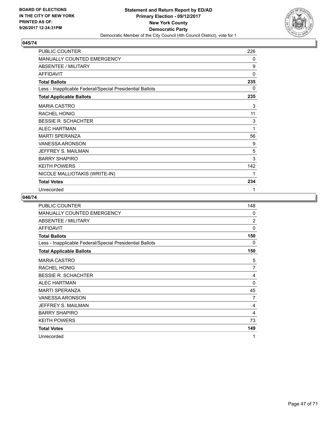

| PUBLIC COUNTER                                           | 226 |
|----------------------------------------------------------|-----|
| <b>MANUALLY COUNTED EMERGENCY</b>                        | 0   |
| ABSENTEE / MILITARY                                      | 9   |
| <b>AFFIDAVIT</b>                                         | 0   |
| <b>Total Ballots</b>                                     | 235 |
| Less - Inapplicable Federal/Special Presidential Ballots | 0   |
| <b>Total Applicable Ballots</b>                          | 235 |
| <b>MARIA CASTRO</b>                                      | 3   |
| <b>RACHEL HONIG</b>                                      | 11  |
| <b>BESSIE R. SCHACHTER</b>                               | 3   |
| <b>ALEC HARTMAN</b>                                      | 1   |
| <b>MARTI SPERANZA</b>                                    | 56  |
| <b>VANESSA ARONSON</b>                                   | 9   |
| JEFFREY S. MAILMAN                                       | 5   |
| <b>BARRY SHAPIRO</b>                                     | 3   |
| <b>KEITH POWERS</b>                                      | 142 |
| NICOLE MALLIOTAKIS (WRITE-IN)                            | 1   |
| <b>Total Votes</b>                                       | 234 |
| Unrecorded                                               | 1   |

| <b>PUBLIC COUNTER</b>                                    | 148            |
|----------------------------------------------------------|----------------|
| <b>MANUALLY COUNTED EMERGENCY</b>                        | 0              |
| ABSENTEE / MILITARY                                      | 2              |
| <b>AFFIDAVIT</b>                                         | 0              |
| <b>Total Ballots</b>                                     | 150            |
| Less - Inapplicable Federal/Special Presidential Ballots | 0              |
| <b>Total Applicable Ballots</b>                          | 150            |
| <b>MARIA CASTRO</b>                                      | 5              |
| <b>RACHEL HONIG</b>                                      | $\overline{7}$ |
| <b>BESSIE R. SCHACHTER</b>                               | 4              |
| <b>ALEC HARTMAN</b>                                      | 0              |
| <b>MARTI SPERANZA</b>                                    | 45             |
| <b>VANESSA ARONSON</b>                                   | 7              |
| JEFFREY S. MAILMAN                                       | 4              |
| <b>BARRY SHAPIRO</b>                                     | 4              |
| <b>KEITH POWERS</b>                                      | 73             |
| <b>Total Votes</b>                                       | 149            |
| Unrecorded                                               | 1              |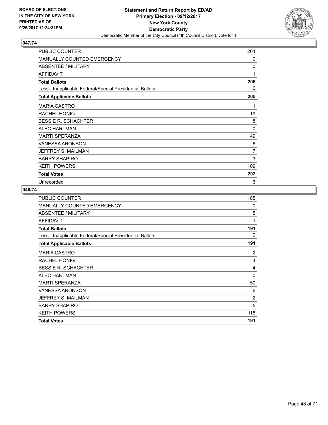

| PUBLIC COUNTER                                           | 204 |
|----------------------------------------------------------|-----|
| <b>MANUALLY COUNTED EMERGENCY</b>                        | 0   |
| ABSENTEE / MILITARY                                      | 0   |
| <b>AFFIDAVIT</b>                                         | 1   |
| <b>Total Ballots</b>                                     | 205 |
| Less - Inapplicable Federal/Special Presidential Ballots | 0   |
| <b>Total Applicable Ballots</b>                          | 205 |
| <b>MARIA CASTRO</b>                                      | 1   |
| <b>RACHEL HONIG</b>                                      | 19  |
| <b>BESSIE R. SCHACHTER</b>                               | 8   |
| <b>ALEC HARTMAN</b>                                      | 0   |
| <b>MARTI SPERANZA</b>                                    | 49  |
| <b>VANESSA ARONSON</b>                                   | 6   |
| JEFFREY S. MAILMAN                                       | 7   |
| <b>BARRY SHAPIRO</b>                                     | 3   |
| <b>KEITH POWERS</b>                                      | 109 |
| <b>Total Votes</b>                                       | 202 |
| Unrecorded                                               | 3   |

| <b>PUBLIC COUNTER</b>                                    | 185            |
|----------------------------------------------------------|----------------|
| <b>MANUALLY COUNTED EMERGENCY</b>                        | 0              |
| ABSENTEE / MILITARY                                      | 5              |
| AFFIDAVIT                                                | 1              |
| <b>Total Ballots</b>                                     | 191            |
| Less - Inapplicable Federal/Special Presidential Ballots | 0              |
| <b>Total Applicable Ballots</b>                          | 191            |
| <b>MARIA CASTRO</b>                                      | 2              |
| <b>RACHEL HONIG</b>                                      | 4              |
| <b>BESSIE R. SCHACHTER</b>                               | 4              |
| <b>ALEC HARTMAN</b>                                      | 0              |
| <b>MARTI SPERANZA</b>                                    | 50             |
| <b>VANESSA ARONSON</b>                                   | 6              |
| JEFFREY S. MAILMAN                                       | $\overline{2}$ |
| <b>BARRY SHAPIRO</b>                                     | 5              |
| <b>KEITH POWERS</b>                                      | 118            |
| <b>Total Votes</b>                                       | 191            |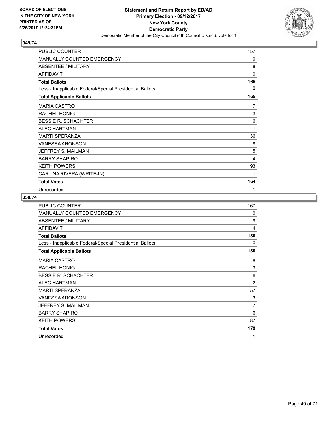

| PUBLIC COUNTER                                           | 157 |
|----------------------------------------------------------|-----|
| <b>MANUALLY COUNTED EMERGENCY</b>                        | 0   |
| ABSENTEE / MILITARY                                      | 8   |
| <b>AFFIDAVIT</b>                                         | 0   |
| <b>Total Ballots</b>                                     | 165 |
| Less - Inapplicable Federal/Special Presidential Ballots | 0   |
| <b>Total Applicable Ballots</b>                          | 165 |
| <b>MARIA CASTRO</b>                                      | 7   |
| <b>RACHEL HONIG</b>                                      | 3   |
| <b>BESSIE R. SCHACHTER</b>                               | 6   |
| <b>ALEC HARTMAN</b>                                      | 1   |
| <b>MARTI SPERANZA</b>                                    | 36  |
| <b>VANESSA ARONSON</b>                                   | 8   |
| JEFFREY S. MAILMAN                                       | 5   |
| <b>BARRY SHAPIRO</b>                                     | 4   |
| <b>KEITH POWERS</b>                                      | 93  |
| CARLINA RIVERA (WRITE-IN)                                | 1   |
| <b>Total Votes</b>                                       | 164 |
| Unrecorded                                               | 1   |

| <b>PUBLIC COUNTER</b>                                    | 167          |
|----------------------------------------------------------|--------------|
| MANUALLY COUNTED EMERGENCY                               | $\mathbf{0}$ |
| ABSENTEE / MILITARY                                      | 9            |
| <b>AFFIDAVIT</b>                                         | 4            |
| <b>Total Ballots</b>                                     | 180          |
| Less - Inapplicable Federal/Special Presidential Ballots | 0            |
| <b>Total Applicable Ballots</b>                          | 180          |
| <b>MARIA CASTRO</b>                                      | 8            |
| <b>RACHEL HONIG</b>                                      | 3            |
| <b>BESSIE R. SCHACHTER</b>                               | 6            |
| <b>ALEC HARTMAN</b>                                      | 2            |
| <b>MARTI SPERANZA</b>                                    | 57           |
| VANESSA ARONSON                                          | 3            |
| JEFFREY S. MAILMAN                                       | 7            |
| <b>BARRY SHAPIRO</b>                                     | 6            |
| <b>KEITH POWERS</b>                                      | 87           |
| <b>Total Votes</b>                                       | 179          |
| Unrecorded                                               | 1            |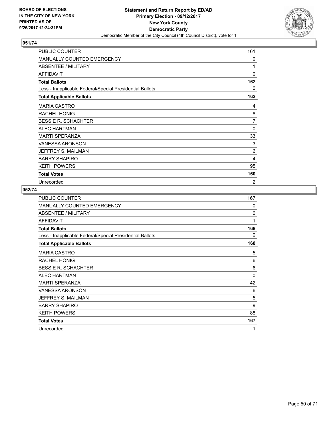

| PUBLIC COUNTER                                           | 161          |
|----------------------------------------------------------|--------------|
| <b>MANUALLY COUNTED EMERGENCY</b>                        | 0            |
| ABSENTEE / MILITARY                                      | 1            |
| <b>AFFIDAVIT</b>                                         | 0            |
| <b>Total Ballots</b>                                     | 162          |
| Less - Inapplicable Federal/Special Presidential Ballots | 0            |
| <b>Total Applicable Ballots</b>                          | 162          |
| <b>MARIA CASTRO</b>                                      | 4            |
| <b>RACHEL HONIG</b>                                      | 8            |
| <b>BESSIE R. SCHACHTER</b>                               | 7            |
| <b>ALEC HARTMAN</b>                                      | $\mathbf{0}$ |
| <b>MARTI SPERANZA</b>                                    | 33           |
| <b>VANESSA ARONSON</b>                                   | 3            |
| JEFFREY S. MAILMAN                                       | 6            |
| <b>BARRY SHAPIRO</b>                                     | 4            |
| <b>KEITH POWERS</b>                                      | 95           |
| <b>Total Votes</b>                                       | 160          |
| Unrecorded                                               | 2            |

| PUBLIC COUNTER                                           | 167          |
|----------------------------------------------------------|--------------|
| MANUALLY COUNTED EMERGENCY                               | 0            |
| <b>ABSENTEE / MILITARY</b>                               | $\mathbf{0}$ |
| <b>AFFIDAVIT</b>                                         | 1            |
| <b>Total Ballots</b>                                     | 168          |
| Less - Inapplicable Federal/Special Presidential Ballots | 0            |
| <b>Total Applicable Ballots</b>                          | 168          |
| <b>MARIA CASTRO</b>                                      | 5            |
| <b>RACHEL HONIG</b>                                      | 6            |
| <b>BESSIE R. SCHACHTER</b>                               | 6            |
| <b>ALEC HARTMAN</b>                                      | 0            |
| <b>MARTI SPERANZA</b>                                    | 42           |
| VANESSA ARONSON                                          | 6            |
| JEFFREY S. MAILMAN                                       | 5            |
| <b>BARRY SHAPIRO</b>                                     | 9            |
| <b>KEITH POWERS</b>                                      | 88           |
| <b>Total Votes</b>                                       | 167          |
| Unrecorded                                               | 1            |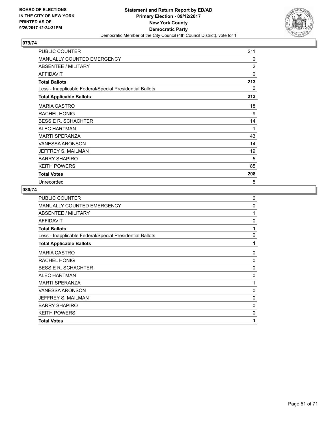

| PUBLIC COUNTER                                           | 211            |
|----------------------------------------------------------|----------------|
| <b>MANUALLY COUNTED EMERGENCY</b>                        | 0              |
| ABSENTEE / MILITARY                                      | $\overline{2}$ |
| <b>AFFIDAVIT</b>                                         | 0              |
| <b>Total Ballots</b>                                     | 213            |
| Less - Inapplicable Federal/Special Presidential Ballots | 0              |
| <b>Total Applicable Ballots</b>                          | 213            |
| <b>MARIA CASTRO</b>                                      | 18             |
| <b>RACHEL HONIG</b>                                      | 9              |
| <b>BESSIE R. SCHACHTER</b>                               | 14             |
| <b>ALEC HARTMAN</b>                                      | 1              |
| <b>MARTI SPERANZA</b>                                    | 43             |
| <b>VANESSA ARONSON</b>                                   | 14             |
| JEFFREY S. MAILMAN                                       | 19             |
| <b>BARRY SHAPIRO</b>                                     | 5              |
| <b>KEITH POWERS</b>                                      | 85             |
| <b>Total Votes</b>                                       | 208            |
| Unrecorded                                               | 5              |

| <b>PUBLIC COUNTER</b>                                    | $\mathbf 0$ |
|----------------------------------------------------------|-------------|
| MANUALLY COUNTED EMERGENCY                               | 0           |
| ABSENTEE / MILITARY                                      | 1           |
| <b>AFFIDAVIT</b>                                         | $\Omega$    |
| <b>Total Ballots</b>                                     | 1           |
| Less - Inapplicable Federal/Special Presidential Ballots | $\Omega$    |
| <b>Total Applicable Ballots</b>                          | 1           |
| <b>MARIA CASTRO</b>                                      | 0           |
| <b>RACHEL HONIG</b>                                      | 0           |
| <b>BESSIE R. SCHACHTER</b>                               | 0           |
| <b>ALEC HARTMAN</b>                                      | 0           |
| <b>MARTI SPERANZA</b>                                    | 1           |
| <b>VANESSA ARONSON</b>                                   | 0           |
| JEFFREY S. MAILMAN                                       | 0           |
| <b>BARRY SHAPIRO</b>                                     | 0           |
| <b>KEITH POWERS</b>                                      | $\Omega$    |
| <b>Total Votes</b>                                       | 1           |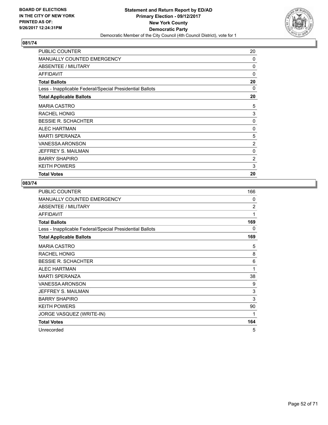

| <b>PUBLIC COUNTER</b>                                    | 20       |
|----------------------------------------------------------|----------|
| <b>MANUALLY COUNTED EMERGENCY</b>                        | $\Omega$ |
| ABSENTEE / MILITARY                                      | 0        |
| <b>AFFIDAVIT</b>                                         | $\Omega$ |
| <b>Total Ballots</b>                                     | 20       |
| Less - Inapplicable Federal/Special Presidential Ballots | 0        |
| <b>Total Applicable Ballots</b>                          | 20       |
| <b>MARIA CASTRO</b>                                      | 5        |
| RACHEL HONIG                                             | 3        |
| <b>BESSIE R. SCHACHTER</b>                               | 0        |
| <b>ALEC HARTMAN</b>                                      | 0        |
| <b>MARTI SPERANZA</b>                                    | 5        |
| <b>VANESSA ARONSON</b>                                   | 2        |
| JEFFREY S. MAILMAN                                       | 0        |
| <b>BARRY SHAPIRO</b>                                     | 2        |
| <b>KEITH POWERS</b>                                      | 3        |
| <b>Total Votes</b>                                       | 20       |

| PUBLIC COUNTER                                           | 166            |
|----------------------------------------------------------|----------------|
| MANUALLY COUNTED EMERGENCY                               | 0              |
| ABSENTEE / MILITARY                                      | $\overline{2}$ |
| <b>AFFIDAVIT</b>                                         | 1              |
| <b>Total Ballots</b>                                     | 169            |
| Less - Inapplicable Federal/Special Presidential Ballots | 0              |
| <b>Total Applicable Ballots</b>                          | 169            |
| <b>MARIA CASTRO</b>                                      | 5              |
| <b>RACHEL HONIG</b>                                      | 8              |
| <b>BESSIE R. SCHACHTER</b>                               | 6              |
| <b>ALEC HARTMAN</b>                                      | 1              |
| <b>MARTI SPERANZA</b>                                    | 38             |
| <b>VANESSA ARONSON</b>                                   | 9              |
| JEFFREY S. MAILMAN                                       | 3              |
| <b>BARRY SHAPIRO</b>                                     | 3              |
| <b>KEITH POWERS</b>                                      | 90             |
| JORGE VASQUEZ (WRITE-IN)                                 | 1              |
| <b>Total Votes</b>                                       | 164            |
| Unrecorded                                               | 5              |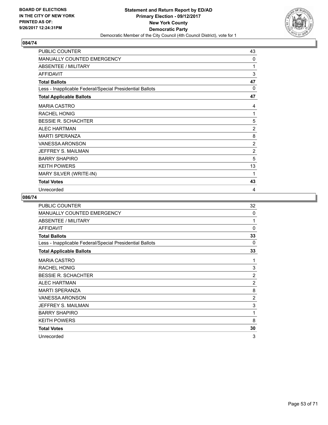

| PUBLIC COUNTER                                           | 43             |
|----------------------------------------------------------|----------------|
| MANUALLY COUNTED EMERGENCY                               | 0              |
| <b>ABSENTEE / MILITARY</b>                               | 1              |
| <b>AFFIDAVIT</b>                                         | 3              |
| <b>Total Ballots</b>                                     | 47             |
| Less - Inapplicable Federal/Special Presidential Ballots | $\mathbf{0}$   |
| <b>Total Applicable Ballots</b>                          | 47             |
| <b>MARIA CASTRO</b>                                      | 4              |
| <b>RACHEL HONIG</b>                                      | 1              |
| <b>BESSIE R. SCHACHTER</b>                               | 5              |
| <b>ALEC HARTMAN</b>                                      | $\overline{2}$ |
| <b>MARTI SPERANZA</b>                                    | 8              |
| <b>VANESSA ARONSON</b>                                   | $\overline{2}$ |
| JEFFREY S. MAILMAN                                       | $\overline{2}$ |
| <b>BARRY SHAPIRO</b>                                     | 5              |
| <b>KEITH POWERS</b>                                      | 13             |
| MARY SILVER (WRITE-IN)                                   | 1              |
| <b>Total Votes</b>                                       | 43             |
| Unrecorded                                               | 4              |

| <b>PUBLIC COUNTER</b>                                    | 32             |
|----------------------------------------------------------|----------------|
| MANUALLY COUNTED EMERGENCY                               | $\Omega$       |
| ABSENTEE / MILITARY                                      | 1              |
| <b>AFFIDAVIT</b>                                         | $\Omega$       |
| <b>Total Ballots</b>                                     | 33             |
| Less - Inapplicable Federal/Special Presidential Ballots | 0              |
| <b>Total Applicable Ballots</b>                          | 33             |
| <b>MARIA CASTRO</b>                                      | 1              |
| <b>RACHEL HONIG</b>                                      | 3              |
| <b>BESSIE R. SCHACHTER</b>                               | $\overline{2}$ |
| <b>ALEC HARTMAN</b>                                      | $\overline{2}$ |
| <b>MARTI SPERANZA</b>                                    | 8              |
| VANESSA ARONSON                                          | $\overline{2}$ |
| JEFFREY S. MAILMAN                                       | 3              |
| <b>BARRY SHAPIRO</b>                                     | 1              |
| <b>KEITH POWERS</b>                                      | 8              |
| <b>Total Votes</b>                                       | 30             |
| Unrecorded                                               | 3              |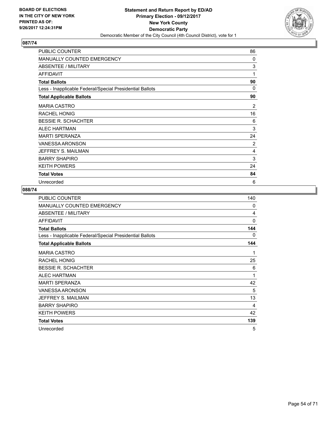

| PUBLIC COUNTER                                           | 86 |
|----------------------------------------------------------|----|
| <b>MANUALLY COUNTED EMERGENCY</b>                        | 0  |
| ABSENTEE / MILITARY                                      | 3  |
| <b>AFFIDAVIT</b>                                         | 1  |
| <b>Total Ballots</b>                                     | 90 |
| Less - Inapplicable Federal/Special Presidential Ballots | 0  |
| <b>Total Applicable Ballots</b>                          | 90 |
| <b>MARIA CASTRO</b>                                      | 2  |
| <b>RACHEL HONIG</b>                                      | 16 |
| <b>BESSIE R. SCHACHTER</b>                               | 6  |
| <b>ALEC HARTMAN</b>                                      | 3  |
| <b>MARTI SPERANZA</b>                                    | 24 |
| <b>VANESSA ARONSON</b>                                   | 2  |
| JEFFREY S. MAILMAN                                       | 4  |
| <b>BARRY SHAPIRO</b>                                     | 3  |
| <b>KEITH POWERS</b>                                      | 24 |
| <b>Total Votes</b>                                       | 84 |
| Unrecorded                                               | 6  |

| PUBLIC COUNTER                                           | 140          |
|----------------------------------------------------------|--------------|
| MANUALLY COUNTED EMERGENCY                               | 0            |
| ABSENTEE / MILITARY                                      | 4            |
| <b>AFFIDAVIT</b>                                         | $\mathbf{0}$ |
| <b>Total Ballots</b>                                     | 144          |
| Less - Inapplicable Federal/Special Presidential Ballots | 0            |
| <b>Total Applicable Ballots</b>                          | 144          |
| <b>MARIA CASTRO</b>                                      | 1            |
| RACHEL HONIG                                             | 25           |
| <b>BESSIE R. SCHACHTER</b>                               | 6            |
| <b>ALEC HARTMAN</b>                                      | 1            |
| <b>MARTI SPERANZA</b>                                    | 42           |
| <b>VANESSA ARONSON</b>                                   | 5            |
| JEFFREY S. MAILMAN                                       | 13           |
| <b>BARRY SHAPIRO</b>                                     | 4            |
| <b>KEITH POWERS</b>                                      | 42           |
| <b>Total Votes</b>                                       | 139          |
| Unrecorded                                               | 5            |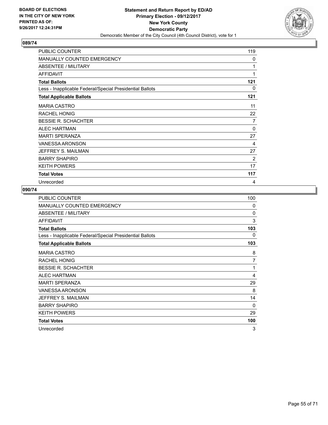

| PUBLIC COUNTER                                           | 119      |
|----------------------------------------------------------|----------|
| <b>MANUALLY COUNTED EMERGENCY</b>                        | 0        |
| ABSENTEE / MILITARY                                      | 1        |
| <b>AFFIDAVIT</b>                                         | 1        |
| <b>Total Ballots</b>                                     | 121      |
| Less - Inapplicable Federal/Special Presidential Ballots | 0        |
| <b>Total Applicable Ballots</b>                          | 121      |
| <b>MARIA CASTRO</b>                                      | 11       |
| <b>RACHEL HONIG</b>                                      | 22       |
| <b>BESSIE R. SCHACHTER</b>                               | 7        |
| <b>ALEC HARTMAN</b>                                      | $\Omega$ |
| <b>MARTI SPERANZA</b>                                    | 27       |
| <b>VANESSA ARONSON</b>                                   | 4        |
| JEFFREY S. MAILMAN                                       | 27       |
| <b>BARRY SHAPIRO</b>                                     | 2        |
| <b>KEITH POWERS</b>                                      | 17       |
| <b>Total Votes</b>                                       | 117      |
| Unrecorded                                               | 4        |

| PUBLIC COUNTER                                           | 100      |
|----------------------------------------------------------|----------|
| MANUALLY COUNTED EMERGENCY                               | $\Omega$ |
| <b>ABSENTEE / MILITARY</b>                               | $\Omega$ |
| <b>AFFIDAVIT</b>                                         | 3        |
| <b>Total Ballots</b>                                     | 103      |
| Less - Inapplicable Federal/Special Presidential Ballots | 0        |
| <b>Total Applicable Ballots</b>                          | 103      |
| <b>MARIA CASTRO</b>                                      | 8        |
| <b>RACHEL HONIG</b>                                      | 7        |
| <b>BESSIE R. SCHACHTER</b>                               | 1        |
| <b>ALEC HARTMAN</b>                                      | 4        |
| <b>MARTI SPERANZA</b>                                    | 29       |
| VANESSA ARONSON                                          | 8        |
| JEFFREY S. MAILMAN                                       | 14       |
| <b>BARRY SHAPIRO</b>                                     | $\Omega$ |
| <b>KEITH POWERS</b>                                      | 29       |
| <b>Total Votes</b>                                       | 100      |
| Unrecorded                                               | 3        |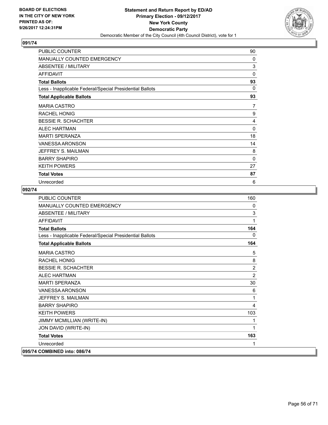

| PUBLIC COUNTER                                           | 90           |
|----------------------------------------------------------|--------------|
| <b>MANUALLY COUNTED EMERGENCY</b>                        | 0            |
| ABSENTEE / MILITARY                                      | 3            |
| <b>AFFIDAVIT</b>                                         | $\mathbf{0}$ |
| <b>Total Ballots</b>                                     | 93           |
| Less - Inapplicable Federal/Special Presidential Ballots | 0            |
| <b>Total Applicable Ballots</b>                          | 93           |
| <b>MARIA CASTRO</b>                                      | 7            |
| <b>RACHEL HONIG</b>                                      | 9            |
| <b>BESSIE R. SCHACHTER</b>                               | 4            |
| <b>ALEC HARTMAN</b>                                      | 0            |
| <b>MARTI SPERANZA</b>                                    | 18           |
| <b>VANESSA ARONSON</b>                                   | 14           |
| JEFFREY S. MAILMAN                                       | 8            |
| <b>BARRY SHAPIRO</b>                                     | 0            |
| <b>KEITH POWERS</b>                                      | 27           |
| <b>Total Votes</b>                                       | 87           |
| Unrecorded                                               | 6            |

| PUBLIC COUNTER                                           | 160            |
|----------------------------------------------------------|----------------|
| <b>MANUALLY COUNTED EMERGENCY</b>                        | $\mathbf{0}$   |
| <b>ABSENTEE / MILITARY</b>                               | 3              |
| <b>AFFIDAVIT</b>                                         | 1              |
| <b>Total Ballots</b>                                     | 164            |
| Less - Inapplicable Federal/Special Presidential Ballots | 0              |
| <b>Total Applicable Ballots</b>                          | 164            |
| <b>MARIA CASTRO</b>                                      | 5              |
| <b>RACHEL HONIG</b>                                      | 8              |
| <b>BESSIE R. SCHACHTER</b>                               | $\overline{2}$ |
| <b>ALEC HARTMAN</b>                                      | $\overline{2}$ |
| <b>MARTI SPERANZA</b>                                    | 30             |
| VANESSA ARONSON                                          | 6              |
| JEFFREY S. MAILMAN                                       | 1              |
| <b>BARRY SHAPIRO</b>                                     | 4              |
| <b>KEITH POWERS</b>                                      | 103            |
| JIMMY MCMILLIAN (WRITE-IN)                               | 1              |
| JON DAVID (WRITE-IN)                                     | 1              |
| <b>Total Votes</b>                                       | 163            |
| Unrecorded                                               | 1              |
| 095/74 COMBINED into: 086/74                             |                |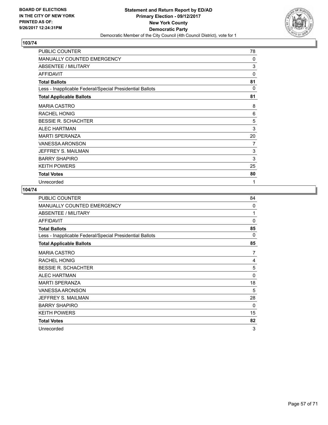

| PUBLIC COUNTER                                           | 78       |
|----------------------------------------------------------|----------|
| <b>MANUALLY COUNTED EMERGENCY</b>                        | 0        |
| ABSENTEE / MILITARY                                      | 3        |
| <b>AFFIDAVIT</b>                                         | 0        |
| <b>Total Ballots</b>                                     | 81       |
| Less - Inapplicable Federal/Special Presidential Ballots | $\Omega$ |
| <b>Total Applicable Ballots</b>                          | 81       |
| <b>MARIA CASTRO</b>                                      | 8        |
| <b>RACHEL HONIG</b>                                      | 6        |
| <b>BESSIE R. SCHACHTER</b>                               | 5        |
| <b>ALEC HARTMAN</b>                                      | 3        |
| <b>MARTI SPERANZA</b>                                    | 20       |
| <b>VANESSA ARONSON</b>                                   | 7        |
| JEFFREY S. MAILMAN                                       | 3        |
| <b>BARRY SHAPIRO</b>                                     | 3        |
| <b>KEITH POWERS</b>                                      | 25       |
| <b>Total Votes</b>                                       | 80       |
| Unrecorded                                               | 1        |

| <b>PUBLIC COUNTER</b>                                    | 84       |
|----------------------------------------------------------|----------|
| <b>MANUALLY COUNTED EMERGENCY</b>                        | $\Omega$ |
| ABSENTEE / MILITARY                                      | 1        |
| <b>AFFIDAVIT</b>                                         | $\Omega$ |
| <b>Total Ballots</b>                                     | 85       |
| Less - Inapplicable Federal/Special Presidential Ballots | 0        |
| <b>Total Applicable Ballots</b>                          | 85       |
| <b>MARIA CASTRO</b>                                      | 7        |
| RACHEL HONIG                                             | 4        |
| <b>BESSIE R. SCHACHTER</b>                               | 5        |
| <b>ALEC HARTMAN</b>                                      | 0        |
| <b>MARTI SPERANZA</b>                                    | 18       |
| VANESSA ARONSON                                          | 5        |
| JEFFREY S. MAILMAN                                       | 28       |
| <b>BARRY SHAPIRO</b>                                     | $\Omega$ |
| <b>KEITH POWERS</b>                                      | 15       |
| <b>Total Votes</b>                                       | 82       |
| Unrecorded                                               | 3        |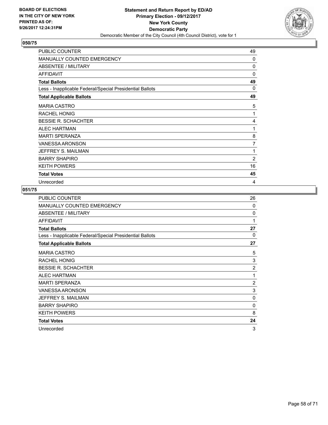

| PUBLIC COUNTER                                           | 49           |
|----------------------------------------------------------|--------------|
| <b>MANUALLY COUNTED EMERGENCY</b>                        | 0            |
| ABSENTEE / MILITARY                                      | $\mathbf{0}$ |
| <b>AFFIDAVIT</b>                                         | $\mathbf{0}$ |
| <b>Total Ballots</b>                                     | 49           |
| Less - Inapplicable Federal/Special Presidential Ballots | 0            |
| <b>Total Applicable Ballots</b>                          | 49           |
| <b>MARIA CASTRO</b>                                      | 5            |
| <b>RACHEL HONIG</b>                                      | 1            |
| <b>BESSIE R. SCHACHTER</b>                               | 4            |
| <b>ALEC HARTMAN</b>                                      | 1            |
| <b>MARTI SPERANZA</b>                                    | 8            |
| <b>VANESSA ARONSON</b>                                   | 7            |
| JEFFREY S. MAILMAN                                       | 1            |
| <b>BARRY SHAPIRO</b>                                     | 2            |
| <b>KEITH POWERS</b>                                      | 16           |
| <b>Total Votes</b>                                       | 45           |
| Unrecorded                                               | 4            |

| PUBLIC COUNTER                                           | 26             |
|----------------------------------------------------------|----------------|
| <b>MANUALLY COUNTED EMERGENCY</b>                        | $\Omega$       |
| ABSENTEE / MILITARY                                      | 0              |
| <b>AFFIDAVIT</b>                                         | 1              |
| <b>Total Ballots</b>                                     | 27             |
| Less - Inapplicable Federal/Special Presidential Ballots | 0              |
| <b>Total Applicable Ballots</b>                          | 27             |
| <b>MARIA CASTRO</b>                                      | 5              |
| RACHEL HONIG                                             | 3              |
| <b>BESSIE R. SCHACHTER</b>                               | $\overline{2}$ |
| <b>ALEC HARTMAN</b>                                      | 1              |
| <b>MARTI SPERANZA</b>                                    | $\overline{c}$ |
| VANESSA ARONSON                                          | 3              |
| JEFFREY S. MAILMAN                                       | 0              |
| <b>BARRY SHAPIRO</b>                                     | 0              |
| <b>KEITH POWERS</b>                                      | 8              |
| <b>Total Votes</b>                                       | 24             |
| Unrecorded                                               | 3              |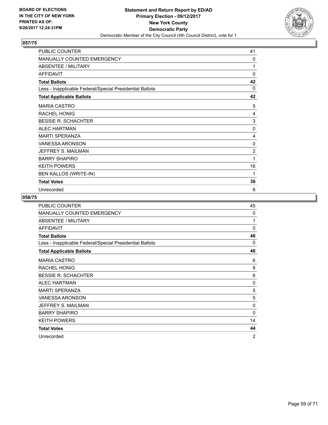

| PUBLIC COUNTER                                           | 41             |
|----------------------------------------------------------|----------------|
| MANUALLY COUNTED EMERGENCY                               | 0              |
| <b>ABSENTEE / MILITARY</b>                               | 1              |
| <b>AFFIDAVIT</b>                                         | $\mathbf{0}$   |
| <b>Total Ballots</b>                                     | 42             |
| Less - Inapplicable Federal/Special Presidential Ballots | $\mathbf{0}$   |
| <b>Total Applicable Ballots</b>                          | 42             |
| <b>MARIA CASTRO</b>                                      | 5              |
| <b>RACHEL HONIG</b>                                      | 4              |
| <b>BESSIE R. SCHACHTER</b>                               | 3              |
| <b>ALEC HARTMAN</b>                                      | 0              |
| <b>MARTI SPERANZA</b>                                    | 4              |
| <b>VANESSA ARONSON</b>                                   | 0              |
| JEFFREY S. MAILMAN                                       | $\overline{2}$ |
| <b>BARRY SHAPIRO</b>                                     | 1              |
| <b>KEITH POWERS</b>                                      | 16             |
| BEN KALLOS (WRITE-IN)                                    | 1              |
| <b>Total Votes</b>                                       | 36             |
| Unrecorded                                               | 6              |

| <b>PUBLIC COUNTER</b>                                    | 45             |
|----------------------------------------------------------|----------------|
| MANUALLY COUNTED EMERGENCY                               | $\Omega$       |
| <b>ABSENTEE / MILITARY</b>                               | 1              |
| <b>AFFIDAVIT</b>                                         | $\Omega$       |
| <b>Total Ballots</b>                                     | 46             |
| Less - Inapplicable Federal/Special Presidential Ballots | $\Omega$       |
| <b>Total Applicable Ballots</b>                          | 46             |
| <b>MARIA CASTRO</b>                                      | 6              |
| <b>RACHEL HONIG</b>                                      | 8              |
| <b>BESSIE R. SCHACHTER</b>                               | 6              |
| <b>ALEC HARTMAN</b>                                      | 0              |
| <b>MARTI SPERANZA</b>                                    | 5              |
| VANESSA ARONSON                                          | 5              |
| JEFFREY S. MAILMAN                                       | $\Omega$       |
| <b>BARRY SHAPIRO</b>                                     | $\Omega$       |
| <b>KEITH POWERS</b>                                      | 14             |
| <b>Total Votes</b>                                       | 44             |
| Unrecorded                                               | $\overline{2}$ |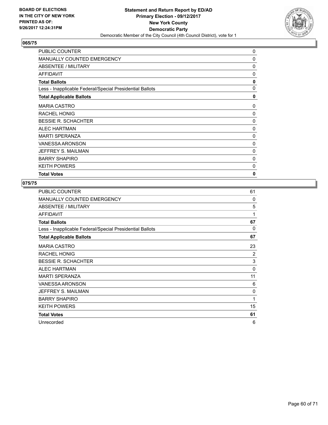

| <b>PUBLIC COUNTER</b>                                    | 0 |
|----------------------------------------------------------|---|
| <b>MANUALLY COUNTED EMERGENCY</b>                        | 0 |
| ABSENTEE / MILITARY                                      | 0 |
| <b>AFFIDAVIT</b>                                         | 0 |
| <b>Total Ballots</b>                                     | 0 |
| Less - Inapplicable Federal/Special Presidential Ballots | 0 |
| <b>Total Applicable Ballots</b>                          | 0 |
| <b>MARIA CASTRO</b>                                      | 0 |
| <b>RACHEL HONIG</b>                                      | 0 |
| <b>BESSIE R. SCHACHTER</b>                               | 0 |
| <b>ALEC HARTMAN</b>                                      | 0 |
| <b>MARTI SPERANZA</b>                                    | 0 |
| <b>VANESSA ARONSON</b>                                   | 0 |
| JEFFREY S. MAILMAN                                       | 0 |
| <b>BARRY SHAPIRO</b>                                     | 0 |
| <b>KEITH POWERS</b>                                      | 0 |
| <b>Total Votes</b>                                       | 0 |

| <b>PUBLIC COUNTER</b>                                    | 61       |
|----------------------------------------------------------|----------|
| <b>MANUALLY COUNTED EMERGENCY</b>                        | $\Omega$ |
| ABSENTEE / MILITARY                                      | 5        |
| <b>AFFIDAVIT</b>                                         | 1        |
| <b>Total Ballots</b>                                     | 67       |
| Less - Inapplicable Federal/Special Presidential Ballots | $\Omega$ |
| <b>Total Applicable Ballots</b>                          | 67       |
| <b>MARIA CASTRO</b>                                      | 23       |
| <b>RACHEL HONIG</b>                                      | 2        |
| <b>BESSIE R. SCHACHTER</b>                               | 3        |
| <b>ALEC HARTMAN</b>                                      | $\Omega$ |
| <b>MARTI SPERANZA</b>                                    | 11       |
| <b>VANESSA ARONSON</b>                                   | 6        |
| JEFFREY S. MAILMAN                                       | 0        |
| <b>BARRY SHAPIRO</b>                                     | 1        |
| <b>KEITH POWERS</b>                                      | 15       |
| <b>Total Votes</b>                                       | 61       |
| Unrecorded                                               | 6        |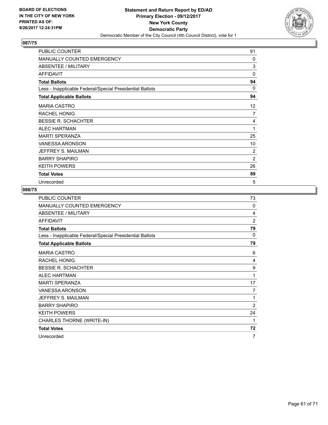

| PUBLIC COUNTER                                           | 91       |
|----------------------------------------------------------|----------|
| <b>MANUALLY COUNTED EMERGENCY</b>                        | 0        |
| ABSENTEE / MILITARY                                      | 3        |
| <b>AFFIDAVIT</b>                                         | $\Omega$ |
| <b>Total Ballots</b>                                     | 94       |
| Less - Inapplicable Federal/Special Presidential Ballots | $\Omega$ |
| <b>Total Applicable Ballots</b>                          | 94       |
| <b>MARIA CASTRO</b>                                      | 12       |
| <b>RACHEL HONIG</b>                                      | 7        |
| <b>BESSIE R. SCHACHTER</b>                               | 4        |
| <b>ALEC HARTMAN</b>                                      | 1        |
| <b>MARTI SPERANZA</b>                                    | 25       |
| <b>VANESSA ARONSON</b>                                   | 10       |
| JEFFREY S. MAILMAN                                       | 2        |
| <b>BARRY SHAPIRO</b>                                     | 2        |
| <b>KEITH POWERS</b>                                      | 26       |
| <b>Total Votes</b>                                       | 89       |
| Unrecorded                                               | 5        |

| PUBLIC COUNTER                                           | 73             |
|----------------------------------------------------------|----------------|
| MANUALLY COUNTED EMERGENCY                               | 0              |
| <b>ABSENTEE / MILITARY</b>                               | 4              |
| <b>AFFIDAVIT</b>                                         | $\overline{2}$ |
| <b>Total Ballots</b>                                     | 79             |
| Less - Inapplicable Federal/Special Presidential Ballots | 0              |
| <b>Total Applicable Ballots</b>                          | 79             |
| <b>MARIA CASTRO</b>                                      | 6              |
| <b>RACHEL HONIG</b>                                      | 4              |
| <b>BESSIE R. SCHACHTER</b>                               | 9              |
| <b>ALEC HARTMAN</b>                                      | 1              |
| <b>MARTI SPERANZA</b>                                    | 17             |
| <b>VANESSA ARONSON</b>                                   | 7              |
| JEFFREY S. MAILMAN                                       | 1              |
| <b>BARRY SHAPIRO</b>                                     | 2              |
| <b>KEITH POWERS</b>                                      | 24             |
| CHARLES THORNE (WRITE-IN)                                | 1              |
| <b>Total Votes</b>                                       | 72             |
| Unrecorded                                               | 7              |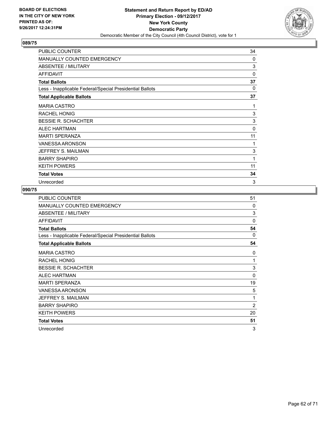

| PUBLIC COUNTER                                           | 34           |
|----------------------------------------------------------|--------------|
| <b>MANUALLY COUNTED EMERGENCY</b>                        | 0            |
| ABSENTEE / MILITARY                                      | 3            |
| <b>AFFIDAVIT</b>                                         | 0            |
| <b>Total Ballots</b>                                     | 37           |
| Less - Inapplicable Federal/Special Presidential Ballots | $\Omega$     |
| <b>Total Applicable Ballots</b>                          | 37           |
| <b>MARIA CASTRO</b>                                      | 1            |
| <b>RACHEL HONIG</b>                                      | 3            |
| <b>BESSIE R. SCHACHTER</b>                               | 3            |
| <b>ALEC HARTMAN</b>                                      | $\mathbf{0}$ |
| <b>MARTI SPERANZA</b>                                    | 11           |
| <b>VANESSA ARONSON</b>                                   | 1            |
| JEFFREY S. MAILMAN                                       | 3            |
| <b>BARRY SHAPIRO</b>                                     | 1            |
| <b>KEITH POWERS</b>                                      | 11           |
| <b>Total Votes</b>                                       | 34           |
| Unrecorded                                               | 3            |

| <b>PUBLIC COUNTER</b>                                    | 51             |
|----------------------------------------------------------|----------------|
| MANUALLY COUNTED EMERGENCY                               | 0              |
| ABSENTEE / MILITARY                                      | 3              |
| <b>AFFIDAVIT</b>                                         | $\Omega$       |
| <b>Total Ballots</b>                                     | 54             |
| Less - Inapplicable Federal/Special Presidential Ballots | $\Omega$       |
| <b>Total Applicable Ballots</b>                          | 54             |
| <b>MARIA CASTRO</b>                                      | 0              |
| RACHEL HONIG                                             | 1              |
| <b>BESSIE R. SCHACHTER</b>                               | 3              |
| <b>ALEC HARTMAN</b>                                      | $\Omega$       |
| <b>MARTI SPERANZA</b>                                    | 19             |
| <b>VANESSA ARONSON</b>                                   | 5              |
| JEFFREY S. MAILMAN                                       | 1              |
| <b>BARRY SHAPIRO</b>                                     | $\overline{2}$ |
| <b>KEITH POWERS</b>                                      | 20             |
| <b>Total Votes</b>                                       | 51             |
| Unrecorded                                               | 3              |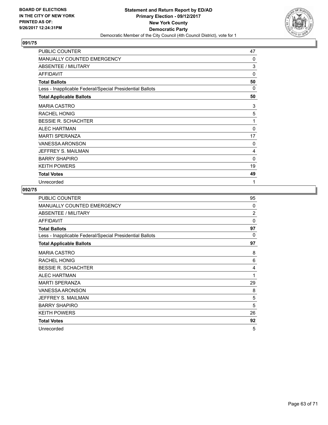

| PUBLIC COUNTER                                           | 47           |
|----------------------------------------------------------|--------------|
| <b>MANUALLY COUNTED EMERGENCY</b>                        | 0            |
| ABSENTEE / MILITARY                                      | 3            |
| <b>AFFIDAVIT</b>                                         | 0            |
| <b>Total Ballots</b>                                     | 50           |
| Less - Inapplicable Federal/Special Presidential Ballots | 0            |
| <b>Total Applicable Ballots</b>                          | 50           |
| <b>MARIA CASTRO</b>                                      | 3            |
| <b>RACHEL HONIG</b>                                      | 5            |
| <b>BESSIE R. SCHACHTER</b>                               | 1            |
| <b>ALEC HARTMAN</b>                                      | $\mathbf{0}$ |
| <b>MARTI SPERANZA</b>                                    | 17           |
| <b>VANESSA ARONSON</b>                                   | 0            |
| JEFFREY S. MAILMAN                                       | 4            |
| <b>BARRY SHAPIRO</b>                                     | 0            |
| <b>KEITH POWERS</b>                                      | 19           |
| <b>Total Votes</b>                                       | 49           |
| Unrecorded                                               | 1            |

| PUBLIC COUNTER                                           | 95             |
|----------------------------------------------------------|----------------|
| MANUALLY COUNTED EMERGENCY                               | $\Omega$       |
| ABSENTEE / MILITARY                                      | $\overline{2}$ |
| <b>AFFIDAVIT</b>                                         | $\Omega$       |
| <b>Total Ballots</b>                                     | 97             |
| Less - Inapplicable Federal/Special Presidential Ballots | 0              |
| <b>Total Applicable Ballots</b>                          | 97             |
| <b>MARIA CASTRO</b>                                      | 8              |
| <b>RACHEL HONIG</b>                                      | 6              |
| <b>BESSIE R. SCHACHTER</b>                               | 4              |
| <b>ALEC HARTMAN</b>                                      | 1              |
| <b>MARTI SPERANZA</b>                                    | 29             |
| VANESSA ARONSON                                          | 8              |
| JEFFREY S. MAILMAN                                       | 5              |
| <b>BARRY SHAPIRO</b>                                     | 5              |
| <b>KEITH POWERS</b>                                      | 26             |
| <b>Total Votes</b>                                       | 92             |
| Unrecorded                                               | 5              |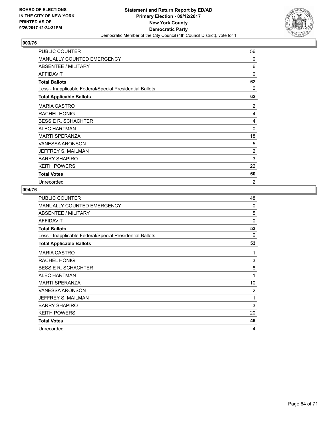

| PUBLIC COUNTER                                           | 56             |
|----------------------------------------------------------|----------------|
| <b>MANUALLY COUNTED EMERGENCY</b>                        | 0              |
| ABSENTEE / MILITARY                                      | 6              |
| <b>AFFIDAVIT</b>                                         | 0              |
| <b>Total Ballots</b>                                     | 62             |
| Less - Inapplicable Federal/Special Presidential Ballots | $\Omega$       |
| <b>Total Applicable Ballots</b>                          | 62             |
| <b>MARIA CASTRO</b>                                      | 2              |
| <b>RACHEL HONIG</b>                                      | 4              |
| <b>BESSIE R. SCHACHTER</b>                               | 4              |
| <b>ALEC HARTMAN</b>                                      | $\mathbf{0}$   |
| <b>MARTI SPERANZA</b>                                    | 18             |
| <b>VANESSA ARONSON</b>                                   | 5              |
| JEFFREY S. MAILMAN                                       | 2              |
| <b>BARRY SHAPIRO</b>                                     | 3              |
| <b>KEITH POWERS</b>                                      | 22             |
| <b>Total Votes</b>                                       | 60             |
| Unrecorded                                               | $\overline{2}$ |

| <b>PUBLIC COUNTER</b>                                    | 48             |
|----------------------------------------------------------|----------------|
| MANUALLY COUNTED EMERGENCY                               | 0              |
| ABSENTEE / MILITARY                                      | 5              |
| <b>AFFIDAVIT</b>                                         | $\Omega$       |
| <b>Total Ballots</b>                                     | 53             |
| Less - Inapplicable Federal/Special Presidential Ballots | 0              |
| <b>Total Applicable Ballots</b>                          | 53             |
| <b>MARIA CASTRO</b>                                      | 1              |
| <b>RACHEL HONIG</b>                                      | 3              |
| <b>BESSIE R. SCHACHTER</b>                               | 8              |
| <b>ALEC HARTMAN</b>                                      | 1              |
| <b>MARTI SPERANZA</b>                                    | 10             |
| <b>VANESSA ARONSON</b>                                   | $\overline{2}$ |
| JEFFREY S. MAILMAN                                       | 1              |
| <b>BARRY SHAPIRO</b>                                     | 3              |
| <b>KEITH POWERS</b>                                      | 20             |
| <b>Total Votes</b>                                       | 49             |
| Unrecorded                                               | 4              |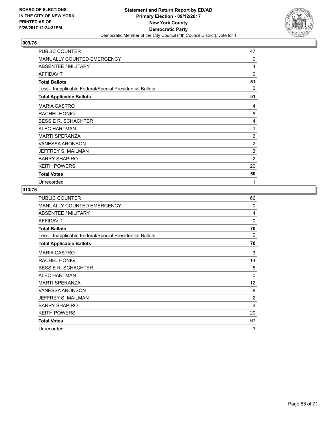

| PUBLIC COUNTER                                           | 47             |
|----------------------------------------------------------|----------------|
| <b>MANUALLY COUNTED EMERGENCY</b>                        | 0              |
| ABSENTEE / MILITARY                                      | 4              |
| <b>AFFIDAVIT</b>                                         | 0              |
| <b>Total Ballots</b>                                     | 51             |
| Less - Inapplicable Federal/Special Presidential Ballots | $\Omega$       |
| <b>Total Applicable Ballots</b>                          | 51             |
| <b>MARIA CASTRO</b>                                      | 4              |
| <b>RACHEL HONIG</b>                                      | 8              |
| <b>BESSIE R. SCHACHTER</b>                               | 4              |
| <b>ALEC HARTMAN</b>                                      | 1              |
| <b>MARTI SPERANZA</b>                                    | 6              |
| <b>VANESSA ARONSON</b>                                   | $\overline{2}$ |
| JEFFREY S. MAILMAN                                       | 3              |
| <b>BARRY SHAPIRO</b>                                     | 2              |
| <b>KEITH POWERS</b>                                      | 20             |
| <b>Total Votes</b>                                       | 50             |
| Unrecorded                                               | 1              |

| PUBLIC COUNTER                                           | 66             |
|----------------------------------------------------------|----------------|
| MANUALLY COUNTED EMERGENCY                               | $\Omega$       |
| ABSENTEE / MILITARY                                      | 4              |
| <b>AFFIDAVIT</b>                                         | $\mathbf{0}$   |
| <b>Total Ballots</b>                                     | 70             |
| Less - Inapplicable Federal/Special Presidential Ballots | 0              |
| <b>Total Applicable Ballots</b>                          | 70             |
| <b>MARIA CASTRO</b>                                      | 3              |
| <b>RACHEL HONIG</b>                                      | 14             |
| <b>BESSIE R. SCHACHTER</b>                               | 5              |
| <b>ALEC HARTMAN</b>                                      | 0              |
| <b>MARTI SPERANZA</b>                                    | 12             |
| VANESSA ARONSON                                          | 8              |
| JEFFREY S. MAILMAN                                       | $\overline{2}$ |
| <b>BARRY SHAPIRO</b>                                     | 3              |
| <b>KEITH POWERS</b>                                      | 20             |
| <b>Total Votes</b>                                       | 67             |
| Unrecorded                                               | 3              |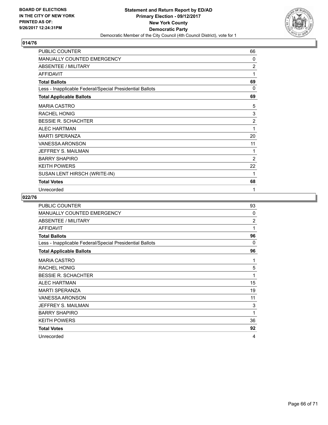

| PUBLIC COUNTER                                           | 66             |
|----------------------------------------------------------|----------------|
| MANUALLY COUNTED EMERGENCY                               | 0              |
| <b>ABSENTEE / MILITARY</b>                               | $\overline{2}$ |
| <b>AFFIDAVIT</b>                                         | 1              |
| <b>Total Ballots</b>                                     | 69             |
| Less - Inapplicable Federal/Special Presidential Ballots | 0              |
| <b>Total Applicable Ballots</b>                          | 69             |
| <b>MARIA CASTRO</b>                                      | 5              |
| <b>RACHEL HONIG</b>                                      | 3              |
| <b>BESSIE R. SCHACHTER</b>                               | $\overline{2}$ |
| <b>ALEC HARTMAN</b>                                      | 1              |
| <b>MARTI SPERANZA</b>                                    | 20             |
| <b>VANESSA ARONSON</b>                                   | 11             |
| JEFFREY S. MAILMAN                                       | 1              |
| <b>BARRY SHAPIRO</b>                                     | 2              |
| <b>KEITH POWERS</b>                                      | 22             |
| SUSAN LENT HIRSCH (WRITE-IN)                             | 1              |
| <b>Total Votes</b>                                       | 68             |
| Unrecorded                                               | 1              |

| <b>PUBLIC COUNTER</b>                                    | 93             |
|----------------------------------------------------------|----------------|
| <b>MANUALLY COUNTED EMERGENCY</b>                        | $\Omega$       |
| ABSENTEE / MILITARY                                      | $\overline{2}$ |
| <b>AFFIDAVIT</b>                                         | 1              |
| <b>Total Ballots</b>                                     | 96             |
| Less - Inapplicable Federal/Special Presidential Ballots | $\Omega$       |
| <b>Total Applicable Ballots</b>                          | 96             |
| <b>MARIA CASTRO</b>                                      | 1              |
| <b>RACHEL HONIG</b>                                      | 5              |
| <b>BESSIE R. SCHACHTER</b>                               | 1              |
| <b>ALEC HARTMAN</b>                                      | 15             |
| <b>MARTI SPERANZA</b>                                    | 19             |
| <b>VANESSA ARONSON</b>                                   | 11             |
| JEFFREY S. MAILMAN                                       | 3              |
| <b>BARRY SHAPIRO</b>                                     | 1              |
| <b>KEITH POWERS</b>                                      | 36             |
| <b>Total Votes</b>                                       | 92             |
| Unrecorded                                               | 4              |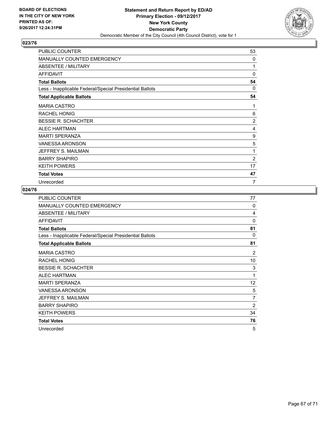

| PUBLIC COUNTER                                           | 53 |
|----------------------------------------------------------|----|
| <b>MANUALLY COUNTED EMERGENCY</b>                        | 0  |
| ABSENTEE / MILITARY                                      | 1  |
| <b>AFFIDAVIT</b>                                         | 0  |
| <b>Total Ballots</b>                                     | 54 |
| Less - Inapplicable Federal/Special Presidential Ballots | 0  |
| <b>Total Applicable Ballots</b>                          | 54 |
| <b>MARIA CASTRO</b>                                      | 1  |
| <b>RACHEL HONIG</b>                                      | 6  |
| <b>BESSIE R. SCHACHTER</b>                               | 2  |
| <b>ALEC HARTMAN</b>                                      | 4  |
| <b>MARTI SPERANZA</b>                                    | 9  |
| <b>VANESSA ARONSON</b>                                   | 5  |
| JEFFREY S. MAILMAN                                       | 1  |
| <b>BARRY SHAPIRO</b>                                     | 2  |
| <b>KEITH POWERS</b>                                      | 17 |
| <b>Total Votes</b>                                       | 47 |
| Unrecorded                                               | 7  |

| <b>PUBLIC COUNTER</b>                                    | 77             |
|----------------------------------------------------------|----------------|
| MANUALLY COUNTED EMERGENCY                               | 0              |
| ABSENTEE / MILITARY                                      | 4              |
| <b>AFFIDAVIT</b>                                         | $\Omega$       |
| <b>Total Ballots</b>                                     | 81             |
| Less - Inapplicable Federal/Special Presidential Ballots | $\Omega$       |
| <b>Total Applicable Ballots</b>                          | 81             |
| <b>MARIA CASTRO</b>                                      | 2              |
| RACHEL HONIG                                             | 10             |
| <b>BESSIE R. SCHACHTER</b>                               | 3              |
| <b>ALEC HARTMAN</b>                                      | 1              |
| <b>MARTI SPERANZA</b>                                    | 12             |
| <b>VANESSA ARONSON</b>                                   | 5              |
| JEFFREY S. MAILMAN                                       | $\overline{7}$ |
| <b>BARRY SHAPIRO</b>                                     | $\overline{2}$ |
| <b>KEITH POWERS</b>                                      | 34             |
| <b>Total Votes</b>                                       | 76             |
| Unrecorded                                               | 5              |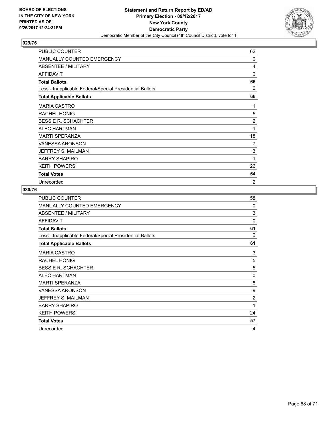

| PUBLIC COUNTER                                           | 62             |
|----------------------------------------------------------|----------------|
| <b>MANUALLY COUNTED EMERGENCY</b>                        | 0              |
| ABSENTEE / MILITARY                                      | 4              |
| <b>AFFIDAVIT</b>                                         | 0              |
| <b>Total Ballots</b>                                     | 66             |
| Less - Inapplicable Federal/Special Presidential Ballots | 0              |
| <b>Total Applicable Ballots</b>                          | 66             |
| <b>MARIA CASTRO</b>                                      | 1              |
| <b>RACHEL HONIG</b>                                      | 5              |
| <b>BESSIE R. SCHACHTER</b>                               | 2              |
| <b>ALEC HARTMAN</b>                                      | 1              |
| <b>MARTI SPERANZA</b>                                    | 18             |
| <b>VANESSA ARONSON</b>                                   | 7              |
| JEFFREY S. MAILMAN                                       | 3              |
| <b>BARRY SHAPIRO</b>                                     | 1              |
| <b>KEITH POWERS</b>                                      | 26             |
| <b>Total Votes</b>                                       | 64             |
| Unrecorded                                               | $\overline{2}$ |

| <b>PUBLIC COUNTER</b>                                    | 58             |
|----------------------------------------------------------|----------------|
| MANUALLY COUNTED EMERGENCY                               | $\Omega$       |
| <b>ABSENTEE / MILITARY</b>                               | 3              |
| <b>AFFIDAVIT</b>                                         | $\Omega$       |
| <b>Total Ballots</b>                                     | 61             |
| Less - Inapplicable Federal/Special Presidential Ballots | $\Omega$       |
| <b>Total Applicable Ballots</b>                          | 61             |
| <b>MARIA CASTRO</b>                                      | 3              |
| <b>RACHEL HONIG</b>                                      | 5              |
| <b>BESSIE R. SCHACHTER</b>                               | 5              |
| <b>ALEC HARTMAN</b>                                      | 0              |
| <b>MARTI SPERANZA</b>                                    | 8              |
| <b>VANESSA ARONSON</b>                                   | 9              |
| JEFFREY S. MAILMAN                                       | $\overline{2}$ |
| <b>BARRY SHAPIRO</b>                                     | 1              |
| <b>KEITH POWERS</b>                                      | 24             |
| <b>Total Votes</b>                                       | 57             |
| Unrecorded                                               | 4              |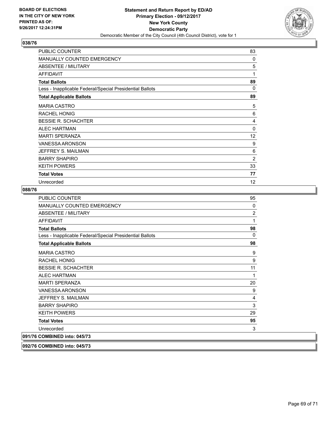

| PUBLIC COUNTER                                           | 83           |
|----------------------------------------------------------|--------------|
| <b>MANUALLY COUNTED EMERGENCY</b>                        | 0            |
| ABSENTEE / MILITARY                                      | 5            |
| <b>AFFIDAVIT</b>                                         | 1            |
| <b>Total Ballots</b>                                     | 89           |
| Less - Inapplicable Federal/Special Presidential Ballots | 0            |
| <b>Total Applicable Ballots</b>                          | 89           |
| <b>MARIA CASTRO</b>                                      | 5            |
| <b>RACHEL HONIG</b>                                      | 6            |
| <b>BESSIE R. SCHACHTER</b>                               | 4            |
| <b>ALEC HARTMAN</b>                                      | $\mathbf{0}$ |
| <b>MARTI SPERANZA</b>                                    | 12           |
| <b>VANESSA ARONSON</b>                                   | 9            |
| JEFFREY S. MAILMAN                                       | 6            |
| <b>BARRY SHAPIRO</b>                                     | 2            |
| <b>KEITH POWERS</b>                                      | 33           |
| <b>Total Votes</b>                                       | 77           |
| Unrecorded                                               | 12           |

#### **088/76**

| PUBLIC COUNTER                                           | 95             |
|----------------------------------------------------------|----------------|
| <b>MANUALLY COUNTED EMERGENCY</b>                        | $\Omega$       |
| ABSENTEE / MILITARY                                      | $\overline{2}$ |
| <b>AFFIDAVIT</b>                                         | 1              |
| <b>Total Ballots</b>                                     | 98             |
| Less - Inapplicable Federal/Special Presidential Ballots | $\Omega$       |
| <b>Total Applicable Ballots</b>                          | 98             |
| <b>MARIA CASTRO</b>                                      | 9              |
| <b>RACHEL HONIG</b>                                      | 9              |
| <b>BESSIE R. SCHACHTER</b>                               | 11             |
| <b>ALEC HARTMAN</b>                                      | 1              |
| <b>MARTI SPERANZA</b>                                    | 20             |
| <b>VANESSA ARONSON</b>                                   | 9              |
| JEFFREY S. MAILMAN                                       | 4              |
| <b>BARRY SHAPIRO</b>                                     | 3              |
| <b>KEITH POWERS</b>                                      | 29             |
| <b>Total Votes</b>                                       | 95             |
| Unrecorded                                               | 3              |
| 091/76 COMBINED into: 045/73                             |                |
|                                                          |                |

**092/76 COMBINED into: 045/73**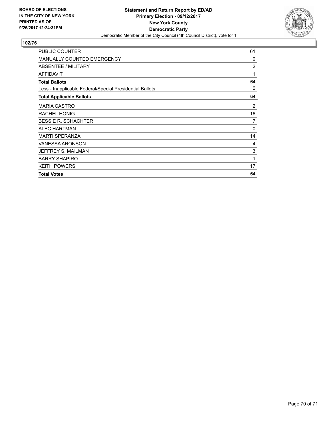

| PUBLIC COUNTER                                           | 61       |
|----------------------------------------------------------|----------|
| <b>MANUALLY COUNTED EMERGENCY</b>                        | 0        |
| ABSENTEE / MILITARY                                      | 2        |
| <b>AFFIDAVIT</b>                                         | 1        |
| <b>Total Ballots</b>                                     | 64       |
| Less - Inapplicable Federal/Special Presidential Ballots | 0        |
| <b>Total Applicable Ballots</b>                          | 64       |
| <b>MARIA CASTRO</b>                                      | 2        |
| RACHEL HONIG                                             | 16       |
| <b>BESSIE R. SCHACHTER</b>                               | 7        |
| <b>ALEC HARTMAN</b>                                      | $\Omega$ |
| <b>MARTI SPERANZA</b>                                    | 14       |
| <b>VANESSA ARONSON</b>                                   | 4        |
| JEFFREY S. MAILMAN                                       | 3        |
| <b>BARRY SHAPIRO</b>                                     | 1        |
| <b>KEITH POWERS</b>                                      | 17       |
| <b>Total Votes</b>                                       | 64       |